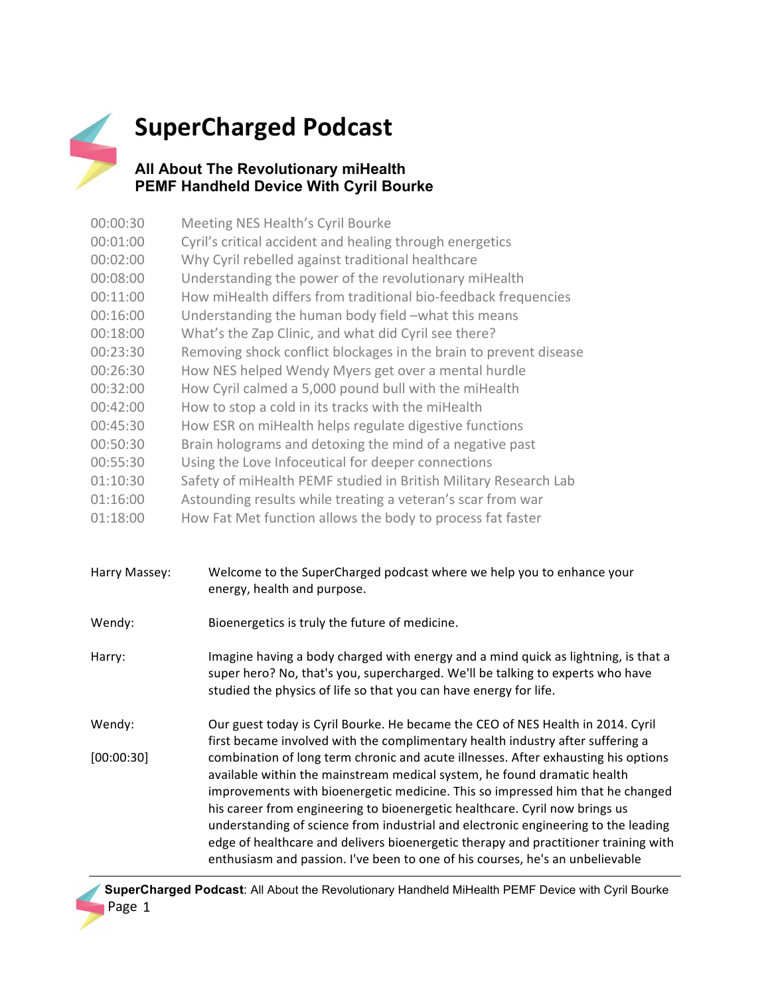

## **SuperCharged Podcast**

## **All About The Revolutionary miHealth PEMF Handheld Device With Cyril Bourke**

| 00:00:30 | Meeting NES Health's Cyril Bourke                                 |
|----------|-------------------------------------------------------------------|
| 00:01:00 | Cyril's critical accident and healing through energetics          |
| 00:02:00 | Why Cyril rebelled against traditional healthcare                 |
| 00:08:00 | Understanding the power of the revolutionary miHealth             |
| 00:11:00 | How miHealth differs from traditional bio-feedback frequencies    |
| 00:16:00 | Understanding the human body field -what this means               |
| 00:18:00 | What's the Zap Clinic, and what did Cyril see there?              |
| 00:23:30 | Removing shock conflict blockages in the brain to prevent disease |
| 00:26:30 | How NES helped Wendy Myers get over a mental hurdle               |
| 00:32:00 | How Cyril calmed a 5,000 pound bull with the miHealth             |
| 00:42:00 | How to stop a cold in its tracks with the miHealth                |
| 00:45:30 | How ESR on miHealth helps regulate digestive functions            |
| 00:50:30 | Brain holograms and detoxing the mind of a negative past          |
| 00:55:30 | Using the Love Infoceutical for deeper connections                |
| 01:10:30 | Safety of miHealth PEMF studied in British Military Research Lab  |
| 01:16:00 | Astounding results while treating a veteran's scar from war       |
| 01:18:00 | How Fat Met function allows the body to process fat faster        |

| Harry Massey:        | Welcome to the SuperCharged podcast where we help you to enhance your<br>energy, health and purpose.                                                                                                                                                                                                                                                                                                                                                                                                                                                                                                                                                                                                                                                               |
|----------------------|--------------------------------------------------------------------------------------------------------------------------------------------------------------------------------------------------------------------------------------------------------------------------------------------------------------------------------------------------------------------------------------------------------------------------------------------------------------------------------------------------------------------------------------------------------------------------------------------------------------------------------------------------------------------------------------------------------------------------------------------------------------------|
| Wendy:               | Bioenergetics is truly the future of medicine.                                                                                                                                                                                                                                                                                                                                                                                                                                                                                                                                                                                                                                                                                                                     |
| Harry:               | Imagine having a body charged with energy and a mind quick as lightning, is that a<br>super hero? No, that's you, supercharged. We'll be talking to experts who have<br>studied the physics of life so that you can have energy for life.                                                                                                                                                                                                                                                                                                                                                                                                                                                                                                                          |
| Wendy:<br>[00:00:30] | Our guest today is Cyril Bourke. He became the CEO of NES Health in 2014. Cyril<br>first became involved with the complimentary health industry after suffering a<br>combination of long term chronic and acute illnesses. After exhausting his options<br>available within the mainstream medical system, he found dramatic health<br>improvements with bioenergetic medicine. This so impressed him that he changed<br>his career from engineering to bioenergetic healthcare. Cyril now brings us<br>understanding of science from industrial and electronic engineering to the leading<br>edge of healthcare and delivers bioenergetic therapy and practitioner training with<br>enthusiasm and passion. I've been to one of his courses, he's an unbelievable |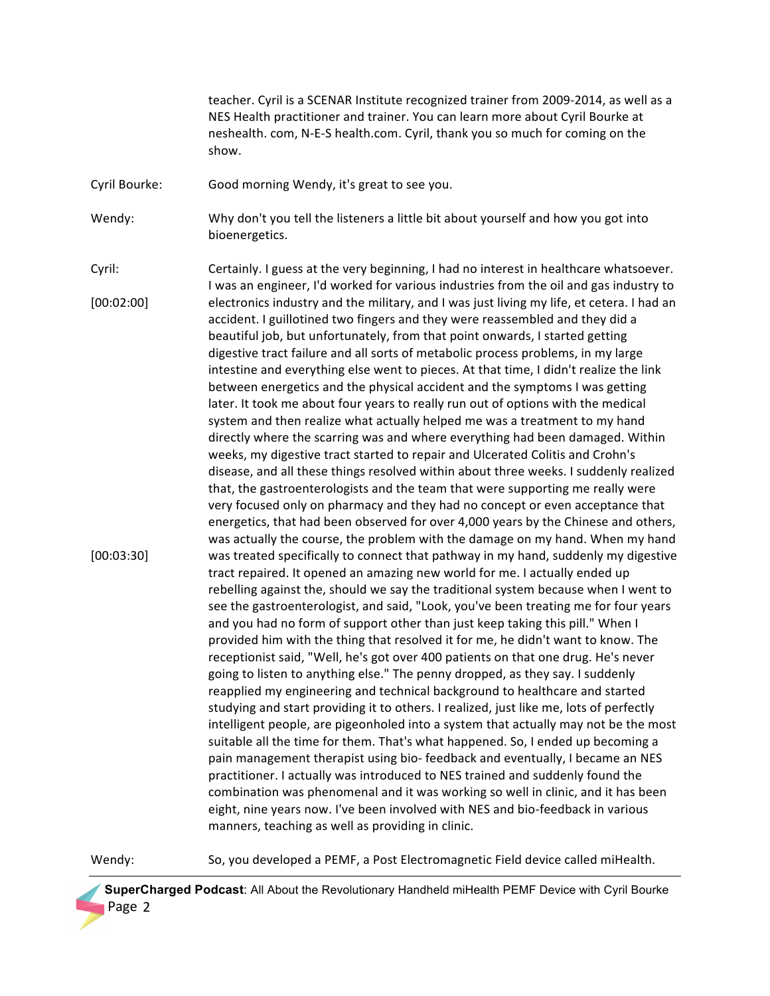teacher. Cyril is a SCENAR Institute recognized trainer from 2009-2014, as well as a NES Health practitioner and trainer. You can learn more about Cyril Bourke at neshealth. com, N-E-S health.com. Cyril, thank you so much for coming on the show.

Cyril Bourke: Good morning Wendy, it's great to see you.

Wendy: Why don't you tell the listeners a little bit about yourself and how you got into bioenergetics.

Cyril: [00:02:00] Certainly. I guess at the very beginning, I had no interest in healthcare whatsoever. I was an engineer, I'd worked for various industries from the oil and gas industry to electronics industry and the military, and I was just living my life, et cetera. I had an accident. I guillotined two fingers and they were reassembled and they did a beautiful job, but unfortunately, from that point onwards, I started getting digestive tract failure and all sorts of metabolic process problems, in my large intestine and everything else went to pieces. At that time, I didn't realize the link between energetics and the physical accident and the symptoms I was getting later. It took me about four years to really run out of options with the medical system and then realize what actually helped me was a treatment to my hand directly where the scarring was and where everything had been damaged. Within [00:03:30] weeks, my digestive tract started to repair and Ulcerated Colitis and Crohn's disease, and all these things resolved within about three weeks. I suddenly realized that, the gastroenterologists and the team that were supporting me really were very focused only on pharmacy and they had no concept or even acceptance that energetics, that had been observed for over 4,000 years by the Chinese and others, was actually the course, the problem with the damage on my hand. When my hand was treated specifically to connect that pathway in my hand, suddenly my digestive tract repaired. It opened an amazing new world for me. I actually ended up rebelling against the, should we say the traditional system because when I went to see the gastroenterologist, and said, "Look, you've been treating me for four years and you had no form of support other than just keep taking this pill." When I provided him with the thing that resolved it for me, he didn't want to know. The receptionist said, "Well, he's got over 400 patients on that one drug. He's never going to listen to anything else." The penny dropped, as they say. I suddenly reapplied my engineering and technical background to healthcare and started studying and start providing it to others. I realized, just like me, lots of perfectly intelligent people, are pigeonholed into a system that actually may not be the most suitable all the time for them. That's what happened. So, I ended up becoming a pain management therapist using bio- feedback and eventually, I became an NES practitioner. I actually was introduced to NES trained and suddenly found the combination was phenomenal and it was working so well in clinic, and it has been eight, nine years now. I've been involved with NES and bio-feedback in various manners, teaching as well as providing in clinic.

Wendy: So, you developed a PEMF, a Post Electromagnetic Field device called miHealth.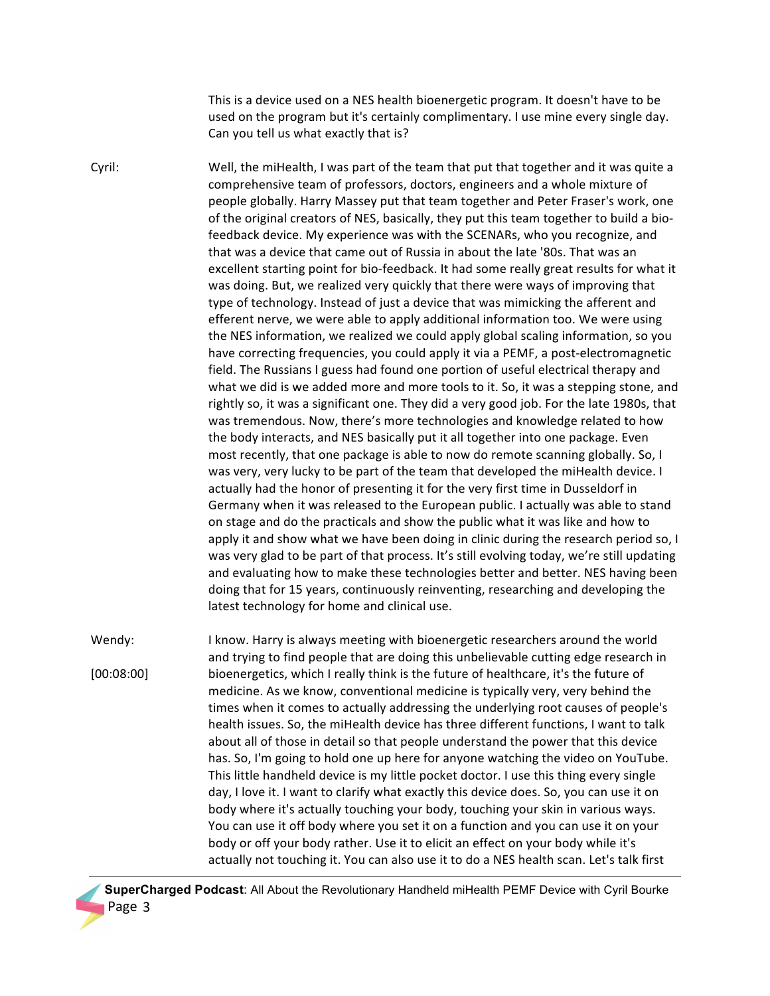This is a device used on a NES health bioenergetic program. It doesn't have to be used on the program but it's certainly complimentary. I use mine every single day. Can you tell us what exactly that is?

Cyril: Well, the miHealth, I was part of the team that put that together and it was quite a comprehensive team of professors, doctors, engineers and a whole mixture of people globally. Harry Massey put that team together and Peter Fraser's work, one of the original creators of NES, basically, they put this team together to build a biofeedback device. My experience was with the SCENARs, who you recognize, and that was a device that came out of Russia in about the late '80s. That was an excellent starting point for bio-feedback. It had some really great results for what it was doing. But, we realized very quickly that there were ways of improving that type of technology. Instead of just a device that was mimicking the afferent and efferent nerve, we were able to apply additional information too. We were using the NES information, we realized we could apply global scaling information, so you have correcting frequencies, you could apply it via a PEMF, a post-electromagnetic field. The Russians I guess had found one portion of useful electrical therapy and what we did is we added more and more tools to it. So, it was a stepping stone, and rightly so, it was a significant one. They did a very good job. For the late 1980s, that was tremendous. Now, there's more technologies and knowledge related to how the body interacts, and NES basically put it all together into one package. Even most recently, that one package is able to now do remote scanning globally. So, I was very, very lucky to be part of the team that developed the miHealth device. I actually had the honor of presenting it for the very first time in Dusseldorf in Germany when it was released to the European public. I actually was able to stand on stage and do the practicals and show the public what it was like and how to apply it and show what we have been doing in clinic during the research period so, I was very glad to be part of that process. It's still evolving today, we're still updating and evaluating how to make these technologies better and better. NES having been doing that for 15 years, continuously reinventing, researching and developing the latest technology for home and clinical use.

Wendy: [00:08:00] I know. Harry is always meeting with bioenergetic researchers around the world and trying to find people that are doing this unbelievable cutting edge research in bioenergetics, which I really think is the future of healthcare, it's the future of medicine. As we know, conventional medicine is typically very, very behind the times when it comes to actually addressing the underlying root causes of people's health issues. So, the miHealth device has three different functions, I want to talk about all of those in detail so that people understand the power that this device has. So, I'm going to hold one up here for anyone watching the video on YouTube. This little handheld device is my little pocket doctor. I use this thing every single day, I love it. I want to clarify what exactly this device does. So, you can use it on body where it's actually touching your body, touching your skin in various ways. You can use it off body where you set it on a function and you can use it on your body or off your body rather. Use it to elicit an effect on your body while it's actually not touching it. You can also use it to do a NES health scan. Let's talk first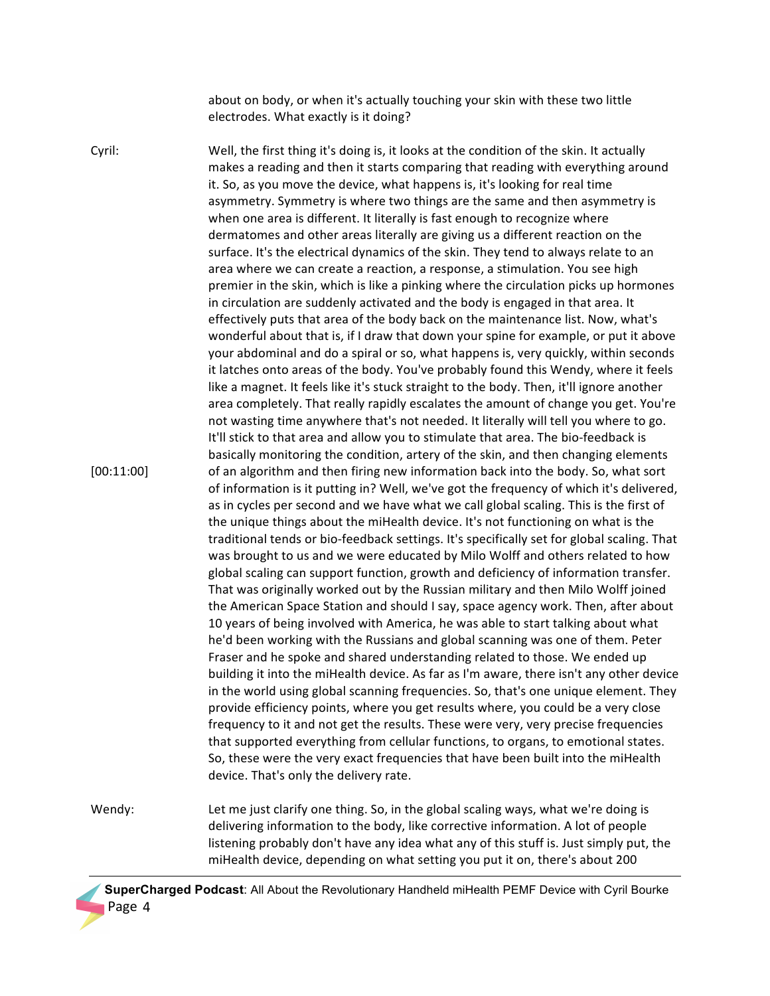about on body, or when it's actually touching your skin with these two little electrodes. What exactly is it doing?

Cyril: Well, the first thing it's doing is, it looks at the condition of the skin. It actually makes a reading and then it starts comparing that reading with everything around it. So, as you move the device, what happens is, it's looking for real time asymmetry. Symmetry is where two things are the same and then asymmetry is when one area is different. It literally is fast enough to recognize where dermatomes and other areas literally are giving us a different reaction on the surface. It's the electrical dynamics of the skin. They tend to always relate to an area where we can create a reaction, a response, a stimulation. You see high premier in the skin, which is like a pinking where the circulation picks up hormones in circulation are suddenly activated and the body is engaged in that area. It effectively puts that area of the body back on the maintenance list. Now, what's wonderful about that is, if I draw that down your spine for example, or put it above your abdominal and do a spiral or so, what happens is, very quickly, within seconds it latches onto areas of the body. You've probably found this Wendy, where it feels like a magnet. It feels like it's stuck straight to the body. Then, it'll ignore another area completely. That really rapidly escalates the amount of change you get. You're not wasting time anywhere that's not needed. It literally will tell you where to go. It'll stick to that area and allow you to stimulate that area. The bio-feedback is [00:11:00] basically monitoring the condition, artery of the skin, and then changing elements of an algorithm and then firing new information back into the body. So, what sort of information is it putting in? Well, we've got the frequency of which it's delivered, as in cycles per second and we have what we call global scaling. This is the first of the unique things about the miHealth device. It's not functioning on what is the traditional tends or bio-feedback settings. It's specifically set for global scaling. That was brought to us and we were educated by Milo Wolff and others related to how global scaling can support function, growth and deficiency of information transfer. That was originally worked out by the Russian military and then Milo Wolff joined the American Space Station and should I say, space agency work. Then, after about 10 years of being involved with America, he was able to start talking about what he'd been working with the Russians and global scanning was one of them. Peter Fraser and he spoke and shared understanding related to those. We ended up building it into the miHealth device. As far as I'm aware, there isn't any other device in the world using global scanning frequencies. So, that's one unique element. They provide efficiency points, where you get results where, you could be a very close frequency to it and not get the results. These were very, very precise frequencies that supported everything from cellular functions, to organs, to emotional states. So, these were the very exact frequencies that have been built into the miHealth device. That's only the delivery rate.

Wendy: Let me just clarify one thing. So, in the global scaling ways, what we're doing is delivering information to the body, like corrective information. A lot of people listening probably don't have any idea what any of this stuff is. Just simply put, the miHealth device, depending on what setting you put it on, there's about 200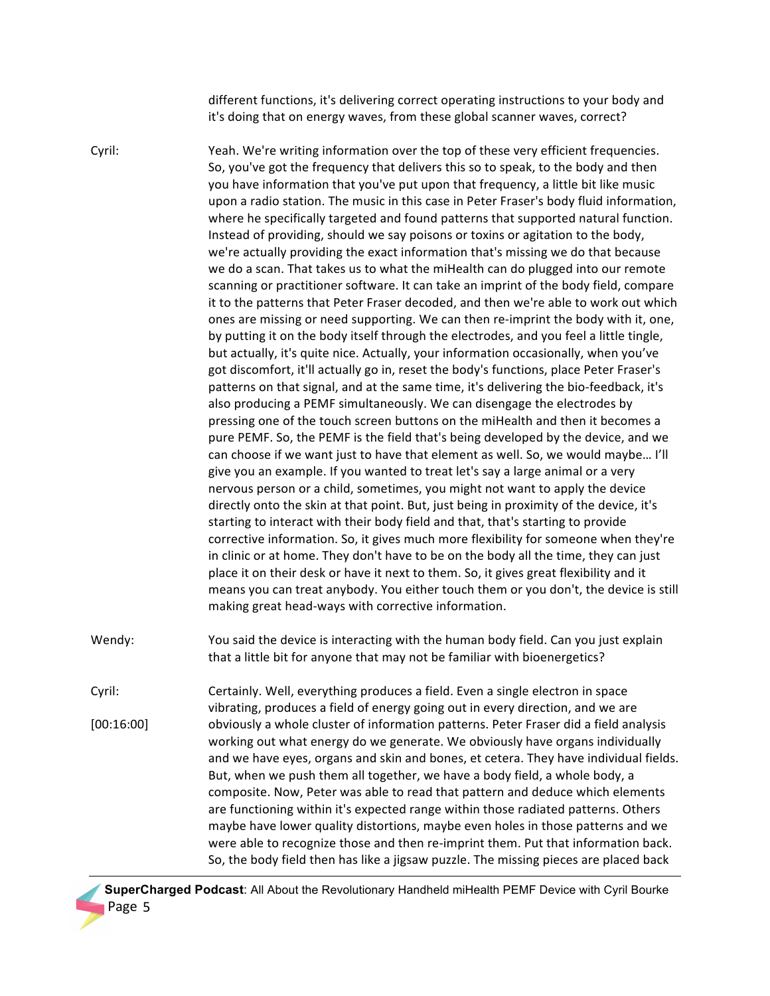different functions, it's delivering correct operating instructions to your body and it's doing that on energy waves, from these global scanner waves, correct?

Cyril: Yeah. We're writing information over the top of these very efficient frequencies. So, you've got the frequency that delivers this so to speak, to the body and then you have information that you've put upon that frequency, a little bit like music upon a radio station. The music in this case in Peter Fraser's body fluid information, where he specifically targeted and found patterns that supported natural function. Instead of providing, should we say poisons or toxins or agitation to the body, we're actually providing the exact information that's missing we do that because we do a scan. That takes us to what the miHealth can do plugged into our remote scanning or practitioner software. It can take an imprint of the body field, compare it to the patterns that Peter Fraser decoded, and then we're able to work out which ones are missing or need supporting. We can then re-imprint the body with it, one, by putting it on the body itself through the electrodes, and you feel a little tingle, but actually, it's quite nice. Actually, your information occasionally, when you've got discomfort, it'll actually go in, reset the body's functions, place Peter Fraser's patterns on that signal, and at the same time, it's delivering the bio-feedback, it's also producing a PEMF simultaneously. We can disengage the electrodes by pressing one of the touch screen buttons on the miHealth and then it becomes a pure PEMF. So, the PEMF is the field that's being developed by the device, and we can choose if we want just to have that element as well. So, we would maybe... I'll give you an example. If you wanted to treat let's say a large animal or a very nervous person or a child, sometimes, you might not want to apply the device directly onto the skin at that point. But, just being in proximity of the device, it's starting to interact with their body field and that, that's starting to provide corrective information. So, it gives much more flexibility for someone when they're in clinic or at home. They don't have to be on the body all the time, they can just place it on their desk or have it next to them. So, it gives great flexibility and it means you can treat anybody. You either touch them or you don't, the device is still making great head-ways with corrective information.

Wendy: You said the device is interacting with the human body field. Can you just explain that a little bit for anyone that may not be familiar with bioenergetics?

Cyril: [00:16:00] Certainly. Well, everything produces a field. Even a single electron in space vibrating, produces a field of energy going out in every direction, and we are obviously a whole cluster of information patterns. Peter Fraser did a field analysis working out what energy do we generate. We obviously have organs individually and we have eyes, organs and skin and bones, et cetera. They have individual fields. But, when we push them all together, we have a body field, a whole body, a composite. Now, Peter was able to read that pattern and deduce which elements are functioning within it's expected range within those radiated patterns. Others maybe have lower quality distortions, maybe even holes in those patterns and we were able to recognize those and then re-imprint them. Put that information back. So, the body field then has like a jigsaw puzzle. The missing pieces are placed back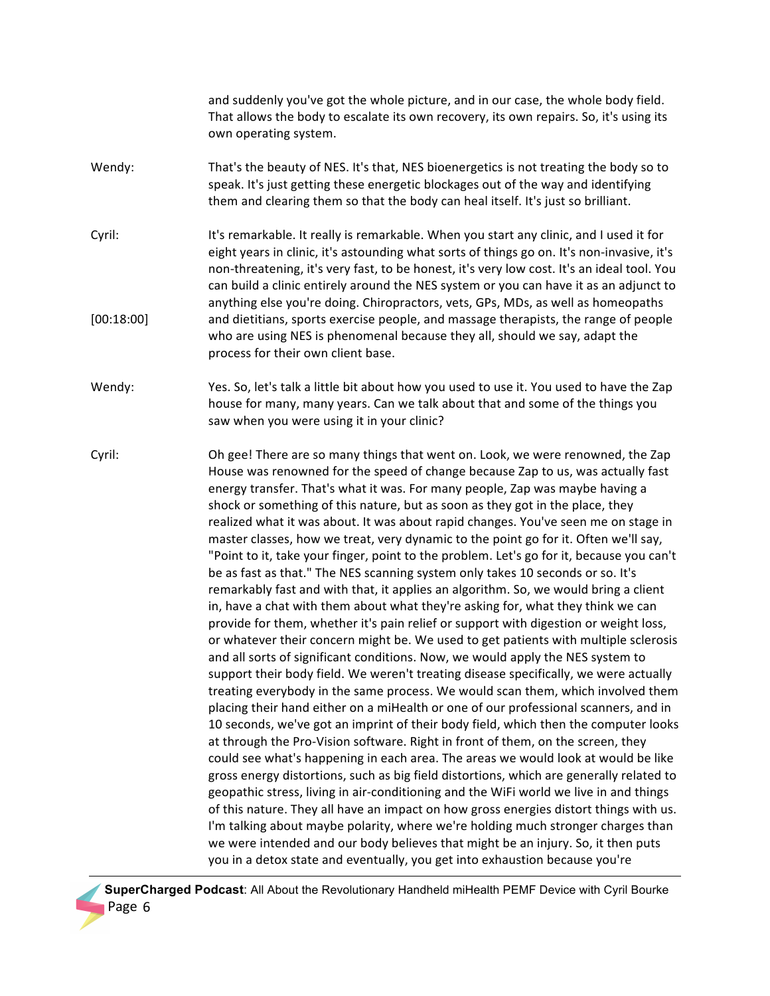and suddenly you've got the whole picture, and in our case, the whole body field. That allows the body to escalate its own recovery, its own repairs. So, it's using its own operating system.

- Wendy: That's the beauty of NES. It's that, NES bioenergetics is not treating the body so to speak. It's just getting these energetic blockages out of the way and identifying them and clearing them so that the body can heal itself. It's just so brilliant.
- Cyril: [00:18:00] It's remarkable. It really is remarkable. When you start any clinic, and I used it for eight years in clinic, it's astounding what sorts of things go on. It's non-invasive, it's non-threatening, it's very fast, to be honest, it's very low cost. It's an ideal tool. You can build a clinic entirely around the NES system or you can have it as an adjunct to anything else you're doing. Chiropractors, vets, GPs, MDs, as well as homeopaths and dietitians, sports exercise people, and massage therapists, the range of people who are using NES is phenomenal because they all, should we say, adapt the process for their own client base.
- Wendy: Yes. So, let's talk a little bit about how you used to use it. You used to have the Zap house for many, many years. Can we talk about that and some of the things you saw when you were using it in your clinic?
- Cyril: Oh gee! There are so many things that went on. Look, we were renowned, the Zap House was renowned for the speed of change because Zap to us, was actually fast energy transfer. That's what it was. For many people, Zap was maybe having a shock or something of this nature, but as soon as they got in the place, they realized what it was about. It was about rapid changes. You've seen me on stage in master classes, how we treat, very dynamic to the point go for it. Often we'll say, "Point to it, take your finger, point to the problem. Let's go for it, because you can't be as fast as that." The NES scanning system only takes 10 seconds or so. It's remarkably fast and with that, it applies an algorithm. So, we would bring a client in, have a chat with them about what they're asking for, what they think we can provide for them, whether it's pain relief or support with digestion or weight loss, or whatever their concern might be. We used to get patients with multiple sclerosis and all sorts of significant conditions. Now, we would apply the NES system to support their body field. We weren't treating disease specifically, we were actually treating everybody in the same process. We would scan them, which involved them placing their hand either on a miHealth or one of our professional scanners, and in 10 seconds, we've got an imprint of their body field, which then the computer looks at through the Pro-Vision software. Right in front of them, on the screen, they could see what's happening in each area. The areas we would look at would be like gross energy distortions, such as big field distortions, which are generally related to geopathic stress, living in air-conditioning and the WiFi world we live in and things of this nature. They all have an impact on how gross energies distort things with us. I'm talking about maybe polarity, where we're holding much stronger charges than we were intended and our body believes that might be an injury. So, it then puts you in a detox state and eventually, you get into exhaustion because you're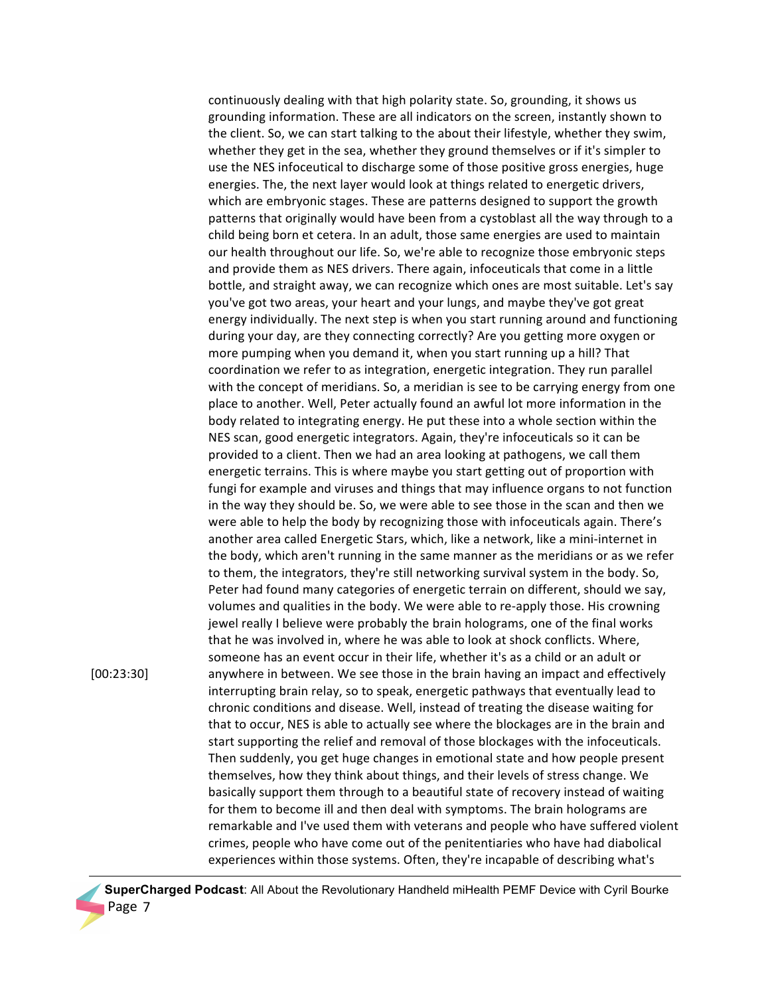continuously dealing with that high polarity state. So, grounding, it shows us grounding information. These are all indicators on the screen, instantly shown to the client. So, we can start talking to the about their lifestyle, whether they swim, whether they get in the sea, whether they ground themselves or if it's simpler to use the NES infoceutical to discharge some of those positive gross energies, huge energies. The, the next layer would look at things related to energetic drivers, which are embryonic stages. These are patterns designed to support the growth patterns that originally would have been from a cystoblast all the way through to a child being born et cetera. In an adult, those same energies are used to maintain our health throughout our life. So, we're able to recognize those embryonic steps and provide them as NES drivers. There again, infoceuticals that come in a little bottle, and straight away, we can recognize which ones are most suitable. Let's say you've got two areas, your heart and your lungs, and maybe they've got great energy individually. The next step is when you start running around and functioning during your day, are they connecting correctly? Are you getting more oxygen or more pumping when you demand it, when you start running up a hill? That coordination we refer to as integration, energetic integration. They run parallel with the concept of meridians. So, a meridian is see to be carrying energy from one place to another. Well, Peter actually found an awful lot more information in the body related to integrating energy. He put these into a whole section within the NES scan, good energetic integrators. Again, they're infoceuticals so it can be provided to a client. Then we had an area looking at pathogens, we call them energetic terrains. This is where maybe you start getting out of proportion with fungi for example and viruses and things that may influence organs to not function in the way they should be. So, we were able to see those in the scan and then we were able to help the body by recognizing those with infoceuticals again. There's another area called Energetic Stars, which, like a network, like a mini-internet in the body, which aren't running in the same manner as the meridians or as we refer to them, the integrators, they're still networking survival system in the body. So, Peter had found many categories of energetic terrain on different, should we say, volumes and qualities in the body. We were able to re-apply those. His crowning jewel really I believe were probably the brain holograms, one of the final works that he was involved in, where he was able to look at shock conflicts. Where, someone has an event occur in their life, whether it's as a child or an adult or anywhere in between. We see those in the brain having an impact and effectively interrupting brain relay, so to speak, energetic pathways that eventually lead to chronic conditions and disease. Well, instead of treating the disease waiting for that to occur, NES is able to actually see where the blockages are in the brain and start supporting the relief and removal of those blockages with the infoceuticals. Then suddenly, you get huge changes in emotional state and how people present themselves, how they think about things, and their levels of stress change. We basically support them through to a beautiful state of recovery instead of waiting for them to become ill and then deal with symptoms. The brain holograms are remarkable and I've used them with veterans and people who have suffered violent crimes, people who have come out of the penitentiaries who have had diabolical experiences within those systems. Often, they're incapable of describing what's

 **SuperCharged Podcast**: All About the Revolutionary Handheld miHealth PEMF Device with Cyril Bourke Page 7

[00:23:30]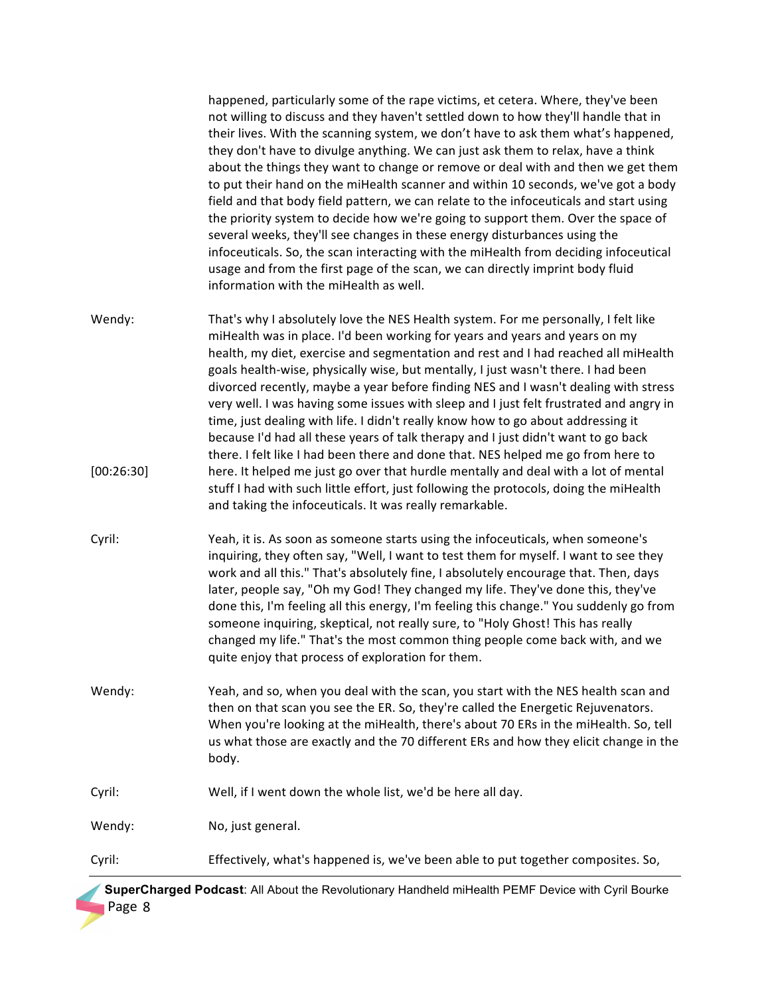happened, particularly some of the rape victims, et cetera. Where, they've been not willing to discuss and they haven't settled down to how they'll handle that in their lives. With the scanning system, we don't have to ask them what's happened, they don't have to divulge anything. We can just ask them to relax, have a think about the things they want to change or remove or deal with and then we get them to put their hand on the miHealth scanner and within 10 seconds, we've got a body field and that body field pattern, we can relate to the infoceuticals and start using the priority system to decide how we're going to support them. Over the space of several weeks, they'll see changes in these energy disturbances using the infoceuticals. So, the scan interacting with the miHealth from deciding infoceutical usage and from the first page of the scan, we can directly imprint body fluid information with the miHealth as well.

- Wendy: That's why I absolutely love the NES Health system. For me personally, I felt like miHealth was in place. I'd been working for years and years and years on my health, my diet, exercise and segmentation and rest and I had reached all miHealth goals health-wise, physically wise, but mentally, I just wasn't there. I had been divorced recently, maybe a year before finding NES and I wasn't dealing with stress very well. I was having some issues with sleep and I just felt frustrated and angry in time, just dealing with life. I didn't really know how to go about addressing it because I'd had all these years of talk therapy and I just didn't want to go back there. I felt like I had been there and done that. NES helped me go from here to [00:26:30] here. It helped me just go over that hurdle mentally and deal with a lot of mental stuff I had with such little effort, just following the protocols, doing the miHealth and taking the infoceuticals. It was really remarkable.
- Cyril: Yeah, it is. As soon as someone starts using the infoceuticals, when someone's inquiring, they often say, "Well, I want to test them for myself. I want to see they work and all this." That's absolutely fine, I absolutely encourage that. Then, days later, people say, "Oh my God! They changed my life. They've done this, they've done this, I'm feeling all this energy, I'm feeling this change." You suddenly go from someone inquiring, skeptical, not really sure, to "Holy Ghost! This has really changed my life." That's the most common thing people come back with, and we quite enjoy that process of exploration for them.
- Wendy: Yeah, and so, when you deal with the scan, you start with the NES health scan and then on that scan you see the ER. So, they're called the Energetic Rejuvenators. When you're looking at the miHealth, there's about 70 ERs in the miHealth. So, tell us what those are exactly and the 70 different ERs and how they elicit change in the body.
- Cyril: Well, if I went down the whole list, we'd be here all day.

Wendy: No, just general.

Cyril: Effectively, what's happened is, we've been able to put together composites. So,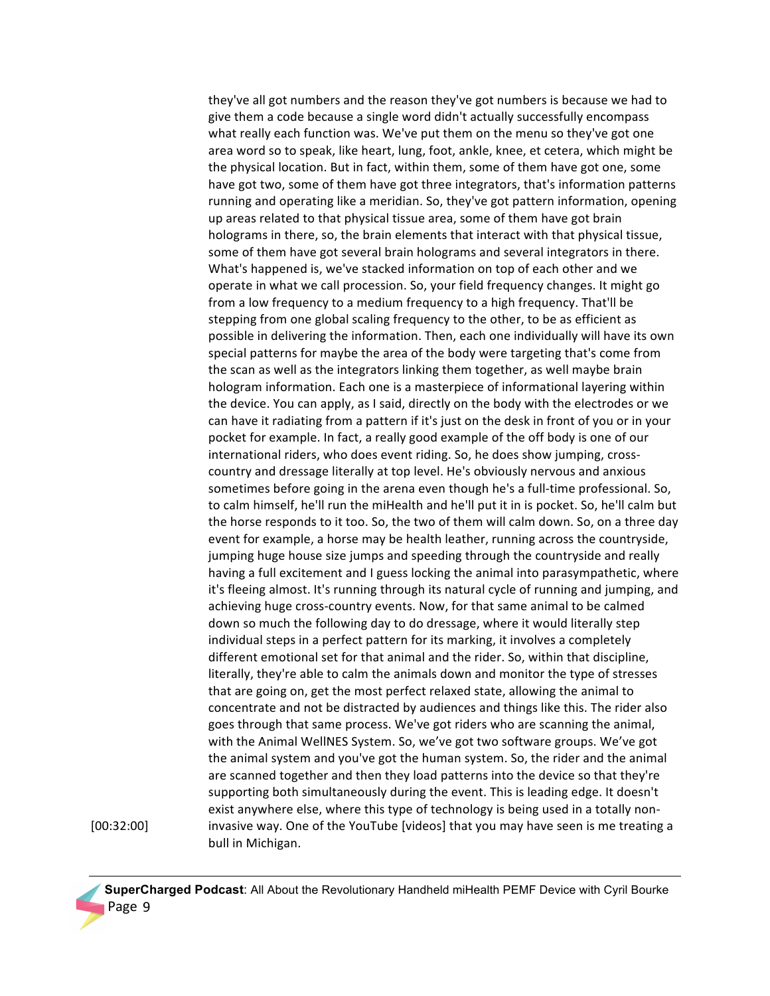they've all got numbers and the reason they've got numbers is because we had to give them a code because a single word didn't actually successfully encompass what really each function was. We've put them on the menu so they've got one area word so to speak, like heart, lung, foot, ankle, knee, et cetera, which might be the physical location. But in fact, within them, some of them have got one, some have got two, some of them have got three integrators, that's information patterns running and operating like a meridian. So, they've got pattern information, opening up areas related to that physical tissue area, some of them have got brain holograms in there, so, the brain elements that interact with that physical tissue, some of them have got several brain holograms and several integrators in there. What's happened is, we've stacked information on top of each other and we operate in what we call procession. So, your field frequency changes. It might go from a low frequency to a medium frequency to a high frequency. That'll be stepping from one global scaling frequency to the other, to be as efficient as possible in delivering the information. Then, each one individually will have its own special patterns for maybe the area of the body were targeting that's come from the scan as well as the integrators linking them together, as well maybe brain hologram information. Each one is a masterpiece of informational layering within the device. You can apply, as I said, directly on the body with the electrodes or we can have it radiating from a pattern if it's just on the desk in front of you or in your pocket for example. In fact, a really good example of the off body is one of our international riders, who does event riding. So, he does show jumping, crosscountry and dressage literally at top level. He's obviously nervous and anxious sometimes before going in the arena even though he's a full-time professional. So, to calm himself, he'll run the miHealth and he'll put it in is pocket. So, he'll calm but the horse responds to it too. So, the two of them will calm down. So, on a three day event for example, a horse may be health leather, running across the countryside, jumping huge house size jumps and speeding through the countryside and really having a full excitement and I guess locking the animal into parasympathetic, where it's fleeing almost. It's running through its natural cycle of running and jumping, and achieving huge cross-country events. Now, for that same animal to be calmed down so much the following day to do dressage, where it would literally step individual steps in a perfect pattern for its marking, it involves a completely different emotional set for that animal and the rider. So, within that discipline, literally, they're able to calm the animals down and monitor the type of stresses that are going on, get the most perfect relaxed state, allowing the animal to concentrate and not be distracted by audiences and things like this. The rider also goes through that same process. We've got riders who are scanning the animal, with the Animal WellNES System. So, we've got two software groups. We've got the animal system and you've got the human system. So, the rider and the animal are scanned together and then they load patterns into the device so that they're supporting both simultaneously during the event. This is leading edge. It doesn't exist anywhere else, where this type of technology is being used in a totally noninvasive way. One of the YouTube [videos] that you may have seen is me treating a bull in Michigan.

[00:32:00]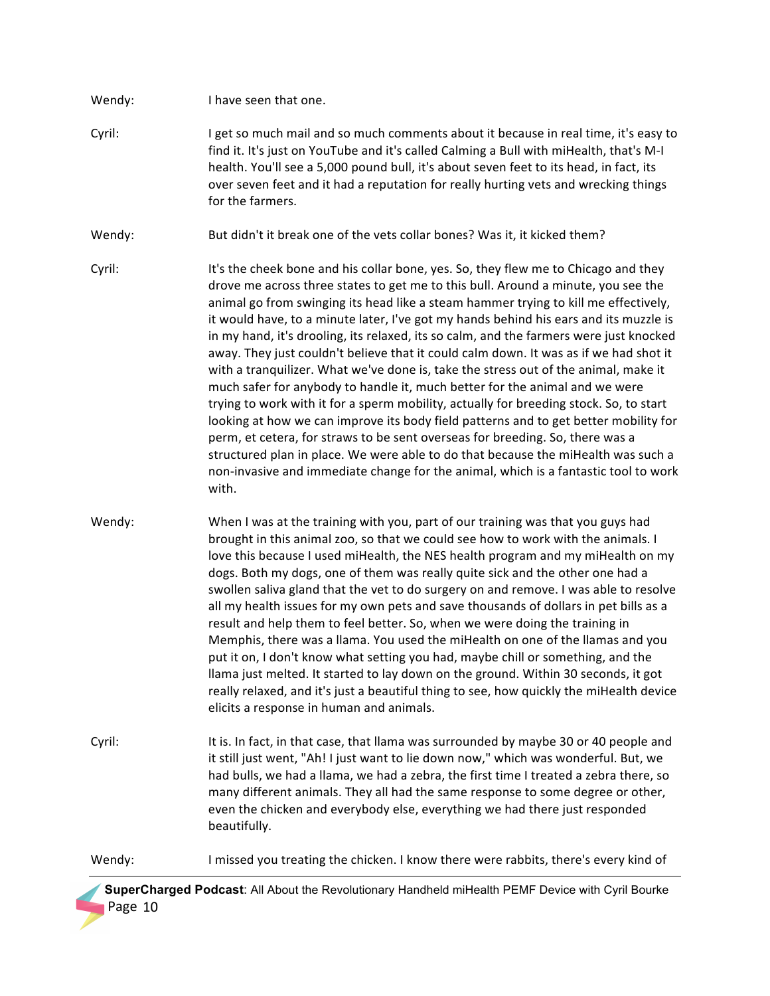Wendy: I have seen that one.

- Cyril: I get so much mail and so much comments about it because in real time, it's easy to find it. It's just on YouTube and it's called Calming a Bull with miHealth, that's M-I health. You'll see a 5,000 pound bull, it's about seven feet to its head, in fact, its over seven feet and it had a reputation for really hurting vets and wrecking things for the farmers.
- Wendy: But didn't it break one of the vets collar bones? Was it, it kicked them?
- Cyril: It's the cheek bone and his collar bone, yes. So, they flew me to Chicago and they drove me across three states to get me to this bull. Around a minute, you see the animal go from swinging its head like a steam hammer trying to kill me effectively, it would have, to a minute later, I've got my hands behind his ears and its muzzle is in my hand, it's drooling, its relaxed, its so calm, and the farmers were just knocked away. They just couldn't believe that it could calm down. It was as if we had shot it with a tranquilizer. What we've done is, take the stress out of the animal, make it much safer for anybody to handle it, much better for the animal and we were trying to work with it for a sperm mobility, actually for breeding stock. So, to start looking at how we can improve its body field patterns and to get better mobility for perm, et cetera, for straws to be sent overseas for breeding. So, there was a structured plan in place. We were able to do that because the miHealth was such a non-invasive and immediate change for the animal, which is a fantastic tool to work with.
- Wendy: When I was at the training with you, part of our training was that you guys had brought in this animal zoo, so that we could see how to work with the animals. I love this because I used miHealth, the NES health program and my miHealth on my dogs. Both my dogs, one of them was really quite sick and the other one had a swollen saliva gland that the vet to do surgery on and remove. I was able to resolve all my health issues for my own pets and save thousands of dollars in pet bills as a result and help them to feel better. So, when we were doing the training in Memphis, there was a llama. You used the miHealth on one of the llamas and you put it on, I don't know what setting you had, maybe chill or something, and the llama just melted. It started to lay down on the ground. Within 30 seconds, it got really relaxed, and it's just a beautiful thing to see, how quickly the miHealth device elicits a response in human and animals.
- Cyril: It is. In fact, in that case, that Ilama was surrounded by maybe 30 or 40 people and it still just went, "Ah! I just want to lie down now," which was wonderful. But, we had bulls, we had a llama, we had a zebra, the first time I treated a zebra there, so many different animals. They all had the same response to some degree or other, even the chicken and everybody else, everything we had there just responded beautifully.

Wendy: I missed you treating the chicken. I know there were rabbits, there's every kind of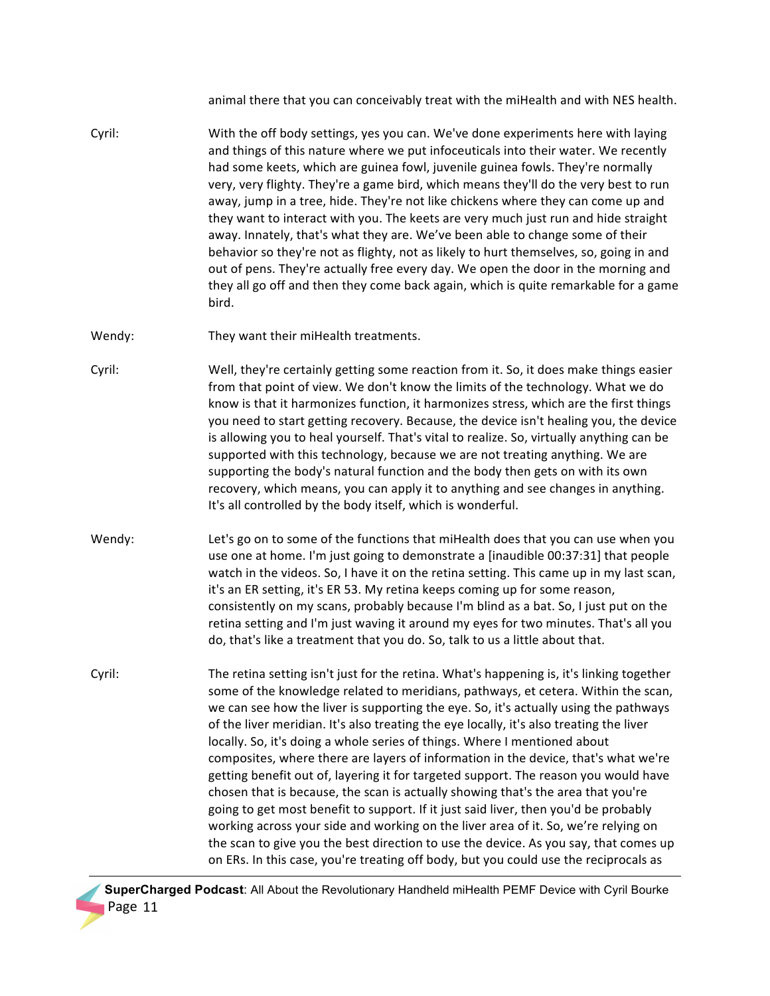animal there that you can conceivably treat with the miHealth and with NES health.

- Cyril: With the off body settings, yes you can. We've done experiments here with laying and things of this nature where we put infoceuticals into their water. We recently had some keets, which are guinea fowl, juvenile guinea fowls. They're normally very, very flighty. They're a game bird, which means they'll do the very best to run away, jump in a tree, hide. They're not like chickens where they can come up and they want to interact with you. The keets are very much just run and hide straight away. Innately, that's what they are. We've been able to change some of their behavior so they're not as flighty, not as likely to hurt themselves, so, going in and out of pens. They're actually free every day. We open the door in the morning and they all go off and then they come back again, which is quite remarkable for a game bird.
- Wendy: They want their miHealth treatments.
- Cyril: Well, they're certainly getting some reaction from it. So, it does make things easier from that point of view. We don't know the limits of the technology. What we do know is that it harmonizes function, it harmonizes stress, which are the first things you need to start getting recovery. Because, the device isn't healing you, the device is allowing you to heal yourself. That's vital to realize. So, virtually anything can be supported with this technology, because we are not treating anything. We are supporting the body's natural function and the body then gets on with its own recovery, which means, you can apply it to anything and see changes in anything. It's all controlled by the body itself, which is wonderful.
- Wendy: Let's go on to some of the functions that miHealth does that you can use when you use one at home. I'm just going to demonstrate a [inaudible  $00:37:31$ ] that people watch in the videos. So, I have it on the retina setting. This came up in my last scan, it's an ER setting, it's ER 53. My retina keeps coming up for some reason, consistently on my scans, probably because I'm blind as a bat. So, I just put on the retina setting and I'm just waving it around my eyes for two minutes. That's all you do, that's like a treatment that you do. So, talk to us a little about that.
- Cyril: The retina setting isn't just for the retina. What's happening is, it's linking together some of the knowledge related to meridians, pathways, et cetera. Within the scan, we can see how the liver is supporting the eye. So, it's actually using the pathways of the liver meridian. It's also treating the eye locally, it's also treating the liver locally. So, it's doing a whole series of things. Where I mentioned about composites, where there are layers of information in the device, that's what we're getting benefit out of, layering it for targeted support. The reason you would have chosen that is because, the scan is actually showing that's the area that you're going to get most benefit to support. If it just said liver, then you'd be probably working across your side and working on the liver area of it. So, we're relying on the scan to give you the best direction to use the device. As you say, that comes up on ERs. In this case, you're treating off body, but you could use the reciprocals as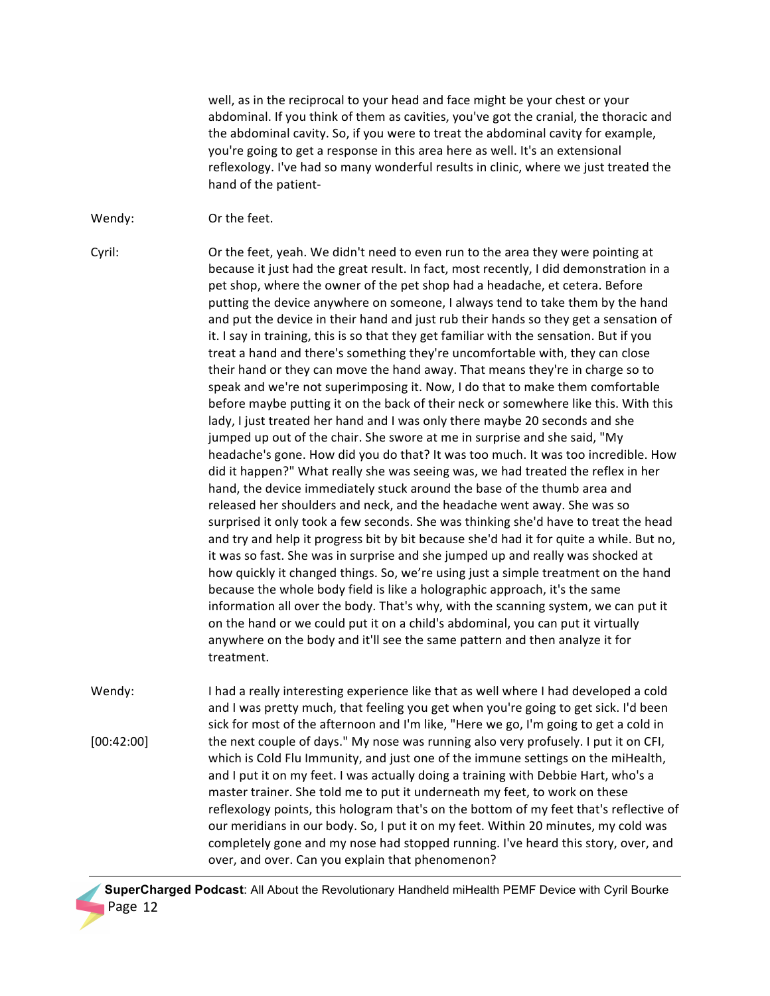well, as in the reciprocal to your head and face might be your chest or your abdominal. If you think of them as cavities, you've got the cranial, the thoracic and the abdominal cavity. So, if you were to treat the abdominal cavity for example, you're going to get a response in this area here as well. It's an extensional reflexology. I've had so many wonderful results in clinic, where we just treated the hand of the patient-

Wendy: Or the feet.

Cyril: Or the feet, yeah. We didn't need to even run to the area they were pointing at because it just had the great result. In fact, most recently, I did demonstration in a pet shop, where the owner of the pet shop had a headache, et cetera. Before putting the device anywhere on someone, I always tend to take them by the hand and put the device in their hand and just rub their hands so they get a sensation of it. I say in training, this is so that they get familiar with the sensation. But if you treat a hand and there's something they're uncomfortable with, they can close their hand or they can move the hand away. That means they're in charge so to speak and we're not superimposing it. Now, I do that to make them comfortable before maybe putting it on the back of their neck or somewhere like this. With this lady, I just treated her hand and I was only there maybe 20 seconds and she jumped up out of the chair. She swore at me in surprise and she said, "My headache's gone. How did you do that? It was too much. It was too incredible. How did it happen?" What really she was seeing was, we had treated the reflex in her hand, the device immediately stuck around the base of the thumb area and released her shoulders and neck, and the headache went away. She was so surprised it only took a few seconds. She was thinking she'd have to treat the head and try and help it progress bit by bit because she'd had it for quite a while. But no, it was so fast. She was in surprise and she jumped up and really was shocked at how quickly it changed things. So, we're using just a simple treatment on the hand because the whole body field is like a holographic approach, it's the same information all over the body. That's why, with the scanning system, we can put it on the hand or we could put it on a child's abdominal, you can put it virtually anywhere on the body and it'll see the same pattern and then analyze it for treatment.

Wendy: [00:42:00] I had a really interesting experience like that as well where I had developed a cold and I was pretty much, that feeling you get when you're going to get sick. I'd been sick for most of the afternoon and I'm like, "Here we go, I'm going to get a cold in the next couple of days." My nose was running also very profusely. I put it on CFI, which is Cold Flu Immunity, and just one of the immune settings on the miHealth, and I put it on my feet. I was actually doing a training with Debbie Hart, who's a master trainer. She told me to put it underneath my feet, to work on these reflexology points, this hologram that's on the bottom of my feet that's reflective of our meridians in our body. So, I put it on my feet. Within 20 minutes, my cold was completely gone and my nose had stopped running. I've heard this story, over, and over, and over. Can you explain that phenomenon?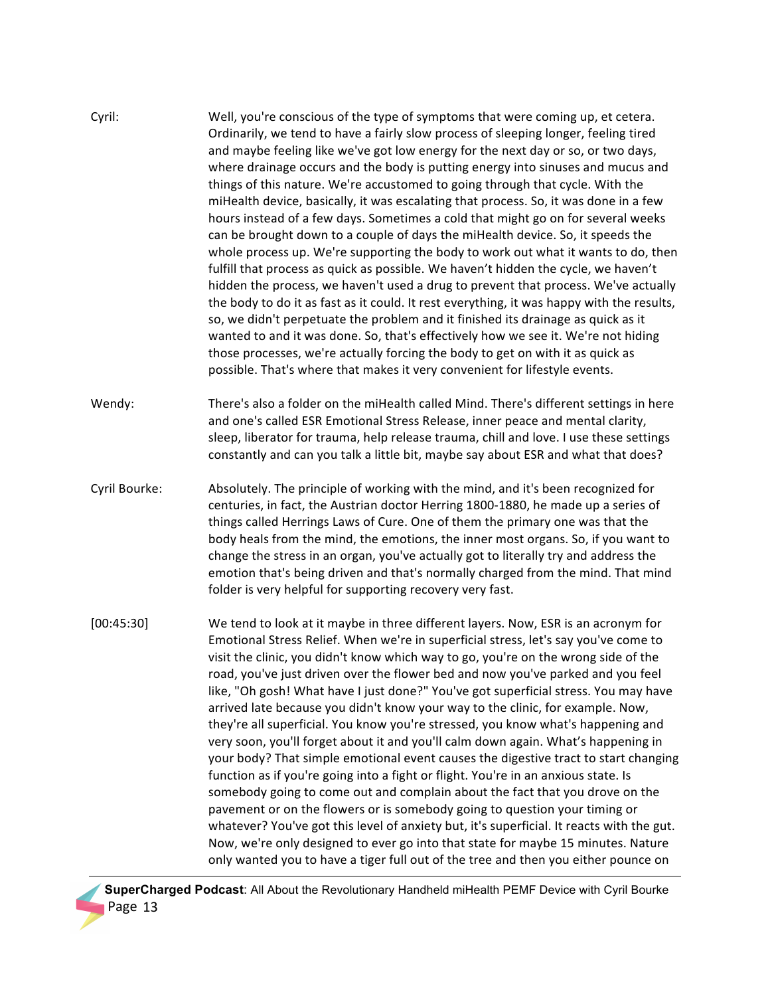| Cyril:        | Well, you're conscious of the type of symptoms that were coming up, et cetera.<br>Ordinarily, we tend to have a fairly slow process of sleeping longer, feeling tired<br>and maybe feeling like we've got low energy for the next day or so, or two days,<br>where drainage occurs and the body is putting energy into sinuses and mucus and<br>things of this nature. We're accustomed to going through that cycle. With the<br>miHealth device, basically, it was escalating that process. So, it was done in a few<br>hours instead of a few days. Sometimes a cold that might go on for several weeks<br>can be brought down to a couple of days the miHealth device. So, it speeds the<br>whole process up. We're supporting the body to work out what it wants to do, then<br>fulfill that process as quick as possible. We haven't hidden the cycle, we haven't<br>hidden the process, we haven't used a drug to prevent that process. We've actually<br>the body to do it as fast as it could. It rest everything, it was happy with the results,<br>so, we didn't perpetuate the problem and it finished its drainage as quick as it<br>wanted to and it was done. So, that's effectively how we see it. We're not hiding<br>those processes, we're actually forcing the body to get on with it as quick as<br>possible. That's where that makes it very convenient for lifestyle events. |
|---------------|----------------------------------------------------------------------------------------------------------------------------------------------------------------------------------------------------------------------------------------------------------------------------------------------------------------------------------------------------------------------------------------------------------------------------------------------------------------------------------------------------------------------------------------------------------------------------------------------------------------------------------------------------------------------------------------------------------------------------------------------------------------------------------------------------------------------------------------------------------------------------------------------------------------------------------------------------------------------------------------------------------------------------------------------------------------------------------------------------------------------------------------------------------------------------------------------------------------------------------------------------------------------------------------------------------------------------------------------------------------------------------------------------|
| Wendy:        | There's also a folder on the miHealth called Mind. There's different settings in here<br>and one's called ESR Emotional Stress Release, inner peace and mental clarity,<br>sleep, liberator for trauma, help release trauma, chill and love. I use these settings<br>constantly and can you talk a little bit, maybe say about ESR and what that does?                                                                                                                                                                                                                                                                                                                                                                                                                                                                                                                                                                                                                                                                                                                                                                                                                                                                                                                                                                                                                                             |
| Cyril Bourke: | Absolutely. The principle of working with the mind, and it's been recognized for<br>centuries, in fact, the Austrian doctor Herring 1800-1880, he made up a series of<br>things called Herrings Laws of Cure. One of them the primary one was that the<br>body heals from the mind, the emotions, the inner most organs. So, if you want to<br>change the stress in an organ, you've actually got to literally try and address the<br>emotion that's being driven and that's normally charged from the mind. That mind<br>folder is very helpful for supporting recovery very fast.                                                                                                                                                                                                                                                                                                                                                                                                                                                                                                                                                                                                                                                                                                                                                                                                                |
| [00:45:30]    | We tend to look at it maybe in three different layers. Now, ESR is an acronym for<br>Emotional Stress Relief. When we're in superficial stress, let's say you've come to<br>visit the clinic, you didn't know which way to go, you're on the wrong side of the<br>road, you've just driven over the flower bed and now you've parked and you feel<br>like, "Oh gosh! What have I just done?" You've got superficial stress. You may have<br>arrived late because you didn't know your way to the clinic, for example. Now,<br>they're all superficial. You know you're stressed, you know what's happening and<br>very soon, you'll forget about it and you'll calm down again. What's happening in<br>your body? That simple emotional event causes the digestive tract to start changing<br>function as if you're going into a fight or flight. You're in an anxious state. Is<br>somebody going to come out and complain about the fact that you drove on the<br>pavement or on the flowers or is somebody going to question your timing or<br>whatever? You've got this level of anxiety but, it's superficial. It reacts with the gut.<br>Now, we're only designed to ever go into that state for maybe 15 minutes. Nature<br>only wanted you to have a tiger full out of the tree and then you either pounce on                                                                              |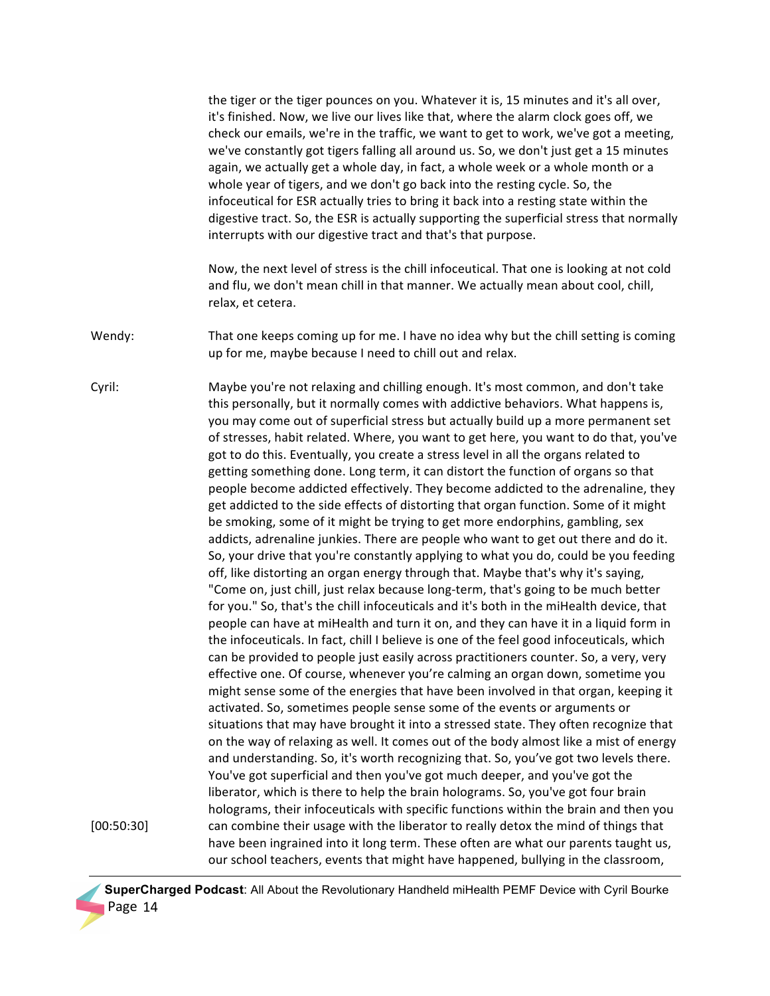|            | the tiger or the tiger pounces on you. Whatever it is, 15 minutes and it's all over,<br>it's finished. Now, we live our lives like that, where the alarm clock goes off, we<br>check our emails, we're in the traffic, we want to get to work, we've got a meeting,<br>we've constantly got tigers falling all around us. So, we don't just get a 15 minutes<br>again, we actually get a whole day, in fact, a whole week or a whole month or a<br>whole year of tigers, and we don't go back into the resting cycle. So, the<br>infoceutical for ESR actually tries to bring it back into a resting state within the<br>digestive tract. So, the ESR is actually supporting the superficial stress that normally<br>interrupts with our digestive tract and that's that purpose.                                                                                                                                                                                                                                                                                                                                                                                                                                                                                                                                                                                                                                                                                                                                                                                                                                                                                                                                                                                                                                                                                                                                                                                                                                                                                                                                                                                                                                                                                                                           |
|------------|-------------------------------------------------------------------------------------------------------------------------------------------------------------------------------------------------------------------------------------------------------------------------------------------------------------------------------------------------------------------------------------------------------------------------------------------------------------------------------------------------------------------------------------------------------------------------------------------------------------------------------------------------------------------------------------------------------------------------------------------------------------------------------------------------------------------------------------------------------------------------------------------------------------------------------------------------------------------------------------------------------------------------------------------------------------------------------------------------------------------------------------------------------------------------------------------------------------------------------------------------------------------------------------------------------------------------------------------------------------------------------------------------------------------------------------------------------------------------------------------------------------------------------------------------------------------------------------------------------------------------------------------------------------------------------------------------------------------------------------------------------------------------------------------------------------------------------------------------------------------------------------------------------------------------------------------------------------------------------------------------------------------------------------------------------------------------------------------------------------------------------------------------------------------------------------------------------------------------------------------------------------------------------------------------------------|
|            | Now, the next level of stress is the chill infoceutical. That one is looking at not cold<br>and flu, we don't mean chill in that manner. We actually mean about cool, chill,<br>relax, et cetera.                                                                                                                                                                                                                                                                                                                                                                                                                                                                                                                                                                                                                                                                                                                                                                                                                                                                                                                                                                                                                                                                                                                                                                                                                                                                                                                                                                                                                                                                                                                                                                                                                                                                                                                                                                                                                                                                                                                                                                                                                                                                                                           |
| Wendy:     | That one keeps coming up for me. I have no idea why but the chill setting is coming<br>up for me, maybe because I need to chill out and relax.                                                                                                                                                                                                                                                                                                                                                                                                                                                                                                                                                                                                                                                                                                                                                                                                                                                                                                                                                                                                                                                                                                                                                                                                                                                                                                                                                                                                                                                                                                                                                                                                                                                                                                                                                                                                                                                                                                                                                                                                                                                                                                                                                              |
| Cyril:     | Maybe you're not relaxing and chilling enough. It's most common, and don't take<br>this personally, but it normally comes with addictive behaviors. What happens is,<br>you may come out of superficial stress but actually build up a more permanent set<br>of stresses, habit related. Where, you want to get here, you want to do that, you've<br>got to do this. Eventually, you create a stress level in all the organs related to<br>getting something done. Long term, it can distort the function of organs so that<br>people become addicted effectively. They become addicted to the adrenaline, they<br>get addicted to the side effects of distorting that organ function. Some of it might<br>be smoking, some of it might be trying to get more endorphins, gambling, sex<br>addicts, adrenaline junkies. There are people who want to get out there and do it.<br>So, your drive that you're constantly applying to what you do, could be you feeding<br>off, like distorting an organ energy through that. Maybe that's why it's saying,<br>"Come on, just chill, just relax because long-term, that's going to be much better<br>for you." So, that's the chill infoceuticals and it's both in the miHealth device, that<br>people can have at miHealth and turn it on, and they can have it in a liquid form in<br>the infoceuticals. In fact, chill I believe is one of the feel good infoceuticals, which<br>can be provided to people just easily across practitioners counter. So, a very, very<br>effective one. Of course, whenever you're calming an organ down, sometime you<br>might sense some of the energies that have been involved in that organ, keeping it<br>activated. So, sometimes people sense some of the events or arguments or<br>situations that may have brought it into a stressed state. They often recognize that<br>on the way of relaxing as well. It comes out of the body almost like a mist of energy<br>and understanding. So, it's worth recognizing that. So, you've got two levels there.<br>You've got superficial and then you've got much deeper, and you've got the<br>liberator, which is there to help the brain holograms. So, you've got four brain<br>holograms, their infoceuticals with specific functions within the brain and then you |
| [00:50:30] | can combine their usage with the liberator to really detox the mind of things that<br>have been ingrained into it long term. These often are what our parents taught us,<br>our school teachers, events that might have happened, bullying in the classroom,                                                                                                                                                                                                                                                                                                                                                                                                                                                                                                                                                                                                                                                                                                                                                                                                                                                                                                                                                                                                                                                                                                                                                                                                                                                                                                                                                                                                                                                                                                                                                                                                                                                                                                                                                                                                                                                                                                                                                                                                                                                |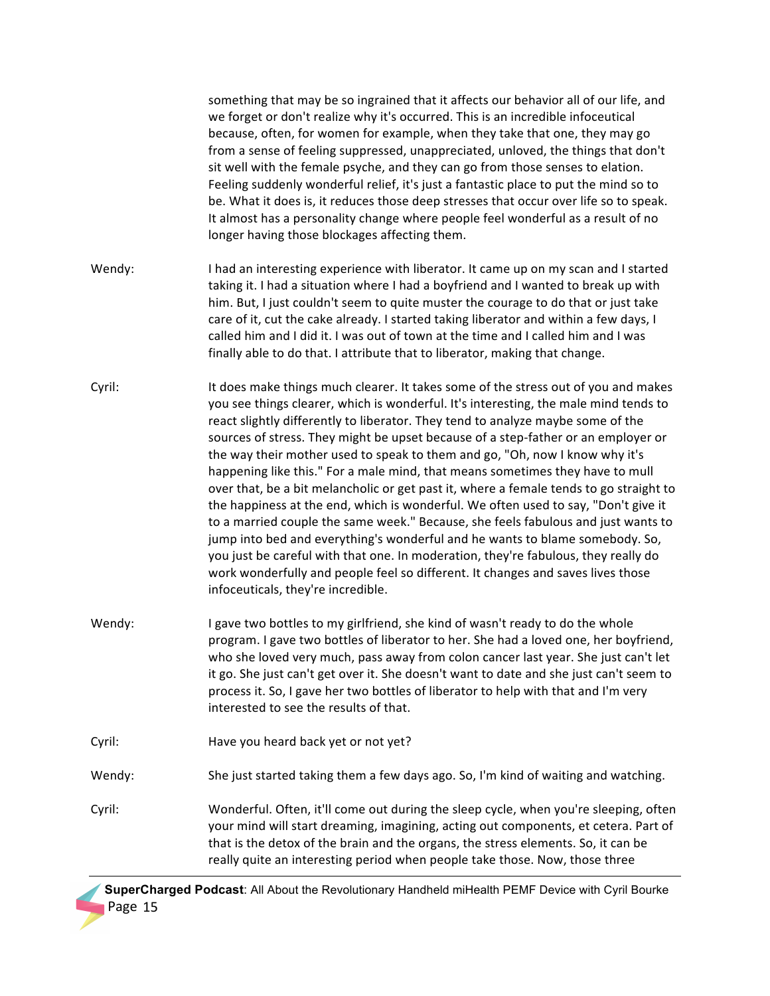|        | something that may be so ingrained that it affects our behavior all of our life, and<br>we forget or don't realize why it's occurred. This is an incredible infoceutical<br>because, often, for women for example, when they take that one, they may go<br>from a sense of feeling suppressed, unappreciated, unloved, the things that don't<br>sit well with the female psyche, and they can go from those senses to elation.<br>Feeling suddenly wonderful relief, it's just a fantastic place to put the mind so to<br>be. What it does is, it reduces those deep stresses that occur over life so to speak.<br>It almost has a personality change where people feel wonderful as a result of no<br>longer having those blockages affecting them.                                                                                                                                                                                                                                                                                                                                   |
|--------|----------------------------------------------------------------------------------------------------------------------------------------------------------------------------------------------------------------------------------------------------------------------------------------------------------------------------------------------------------------------------------------------------------------------------------------------------------------------------------------------------------------------------------------------------------------------------------------------------------------------------------------------------------------------------------------------------------------------------------------------------------------------------------------------------------------------------------------------------------------------------------------------------------------------------------------------------------------------------------------------------------------------------------------------------------------------------------------|
| Wendy: | I had an interesting experience with liberator. It came up on my scan and I started<br>taking it. I had a situation where I had a boyfriend and I wanted to break up with<br>him. But, I just couldn't seem to quite muster the courage to do that or just take<br>care of it, cut the cake already. I started taking liberator and within a few days, I<br>called him and I did it. I was out of town at the time and I called him and I was<br>finally able to do that. I attribute that to liberator, making that change.                                                                                                                                                                                                                                                                                                                                                                                                                                                                                                                                                           |
| Cyril: | It does make things much clearer. It takes some of the stress out of you and makes<br>you see things clearer, which is wonderful. It's interesting, the male mind tends to<br>react slightly differently to liberator. They tend to analyze maybe some of the<br>sources of stress. They might be upset because of a step-father or an employer or<br>the way their mother used to speak to them and go, "Oh, now I know why it's<br>happening like this." For a male mind, that means sometimes they have to mull<br>over that, be a bit melancholic or get past it, where a female tends to go straight to<br>the happiness at the end, which is wonderful. We often used to say, "Don't give it<br>to a married couple the same week." Because, she feels fabulous and just wants to<br>jump into bed and everything's wonderful and he wants to blame somebody. So,<br>you just be careful with that one. In moderation, they're fabulous, they really do<br>work wonderfully and people feel so different. It changes and saves lives those<br>infoceuticals, they're incredible. |
| Wendy: | I gave two bottles to my girlfriend, she kind of wasn't ready to do the whole<br>program. I gave two bottles of liberator to her. She had a loved one, her boyfriend,<br>who she loved very much, pass away from colon cancer last year. She just can't let<br>it go. She just can't get over it. She doesn't want to date and she just can't seem to<br>process it. So, I gave her two bottles of liberator to help with that and I'm very<br>interested to see the results of that.                                                                                                                                                                                                                                                                                                                                                                                                                                                                                                                                                                                                  |
| Cyril: | Have you heard back yet or not yet?                                                                                                                                                                                                                                                                                                                                                                                                                                                                                                                                                                                                                                                                                                                                                                                                                                                                                                                                                                                                                                                    |
| Wendy: | She just started taking them a few days ago. So, I'm kind of waiting and watching.                                                                                                                                                                                                                                                                                                                                                                                                                                                                                                                                                                                                                                                                                                                                                                                                                                                                                                                                                                                                     |
| Cyril: | Wonderful. Often, it'll come out during the sleep cycle, when you're sleeping, often<br>your mind will start dreaming, imagining, acting out components, et cetera. Part of<br>that is the detox of the brain and the organs, the stress elements. So, it can be<br>really quite an interesting period when people take those. Now, those three                                                                                                                                                                                                                                                                                                                                                                                                                                                                                                                                                                                                                                                                                                                                        |
|        |                                                                                                                                                                                                                                                                                                                                                                                                                                                                                                                                                                                                                                                                                                                                                                                                                                                                                                                                                                                                                                                                                        |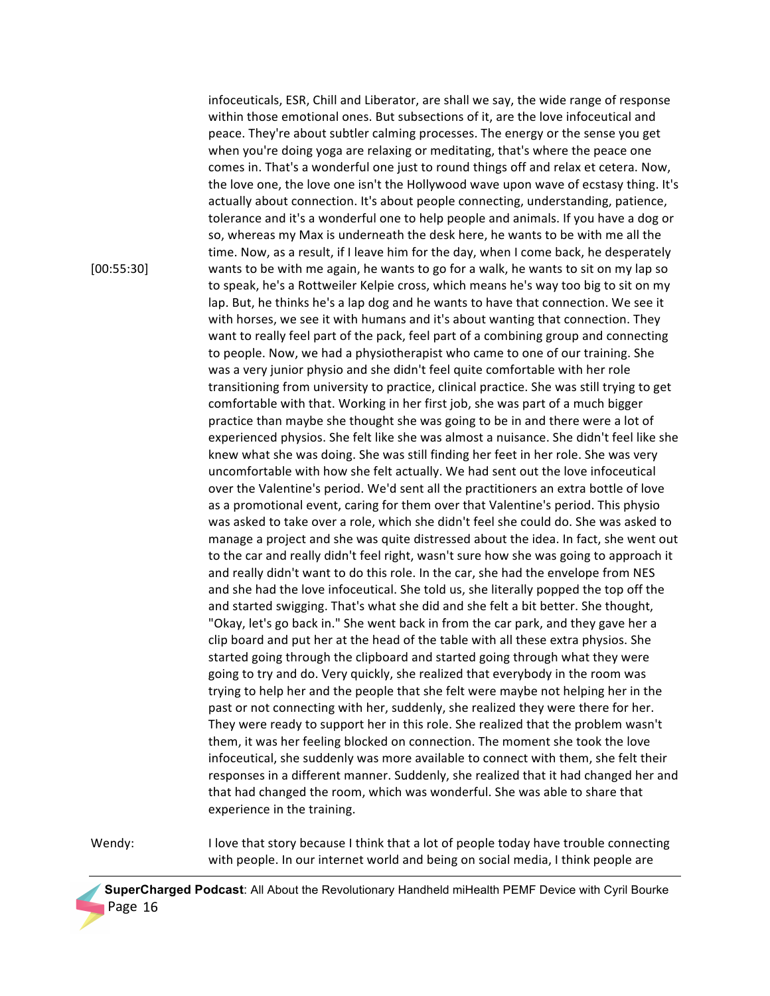infoceuticals, ESR, Chill and Liberator, are shall we say, the wide range of response within those emotional ones. But subsections of it, are the love infoceutical and peace. They're about subtler calming processes. The energy or the sense you get when you're doing yoga are relaxing or meditating, that's where the peace one comes in. That's a wonderful one just to round things off and relax et cetera. Now, the love one, the love one isn't the Hollywood wave upon wave of ecstasy thing. It's actually about connection. It's about people connecting, understanding, patience, tolerance and it's a wonderful one to help people and animals. If you have a dog or so, whereas my Max is underneath the desk here, he wants to be with me all the time. Now, as a result, if I leave him for the day, when I come back, he desperately wants to be with me again, he wants to go for a walk, he wants to sit on my lap so to speak, he's a Rottweiler Kelpie cross, which means he's way too big to sit on my lap. But, he thinks he's a lap dog and he wants to have that connection. We see it with horses, we see it with humans and it's about wanting that connection. They want to really feel part of the pack, feel part of a combining group and connecting to people. Now, we had a physiotherapist who came to one of our training. She was a very junior physio and she didn't feel quite comfortable with her role transitioning from university to practice, clinical practice. She was still trying to get comfortable with that. Working in her first job, she was part of a much bigger practice than maybe she thought she was going to be in and there were a lot of experienced physios. She felt like she was almost a nuisance. She didn't feel like she knew what she was doing. She was still finding her feet in her role. She was very uncomfortable with how she felt actually. We had sent out the love infoceutical over the Valentine's period. We'd sent all the practitioners an extra bottle of love as a promotional event, caring for them over that Valentine's period. This physio was asked to take over a role, which she didn't feel she could do. She was asked to manage a project and she was quite distressed about the idea. In fact, she went out to the car and really didn't feel right, wasn't sure how she was going to approach it and really didn't want to do this role. In the car, she had the envelope from NES and she had the love infoceutical. She told us, she literally popped the top off the and started swigging. That's what she did and she felt a bit better. She thought, "Okay, let's go back in." She went back in from the car park, and they gave her a clip board and put her at the head of the table with all these extra physios. She started going through the clipboard and started going through what they were going to try and do. Very quickly, she realized that everybody in the room was trying to help her and the people that she felt were maybe not helping her in the past or not connecting with her, suddenly, she realized they were there for her. They were ready to support her in this role. She realized that the problem wasn't them, it was her feeling blocked on connection. The moment she took the love infoceutical, she suddenly was more available to connect with them, she felt their responses in a different manner. Suddenly, she realized that it had changed her and that had changed the room, which was wonderful. She was able to share that experience in the training.

Wendy: I love that story because I think that a lot of people today have trouble connecting with people. In our internet world and being on social media, I think people are

 **SuperCharged Podcast**: All About the Revolutionary Handheld miHealth PEMF Device with Cyril Bourke Page 16

[00:55:30]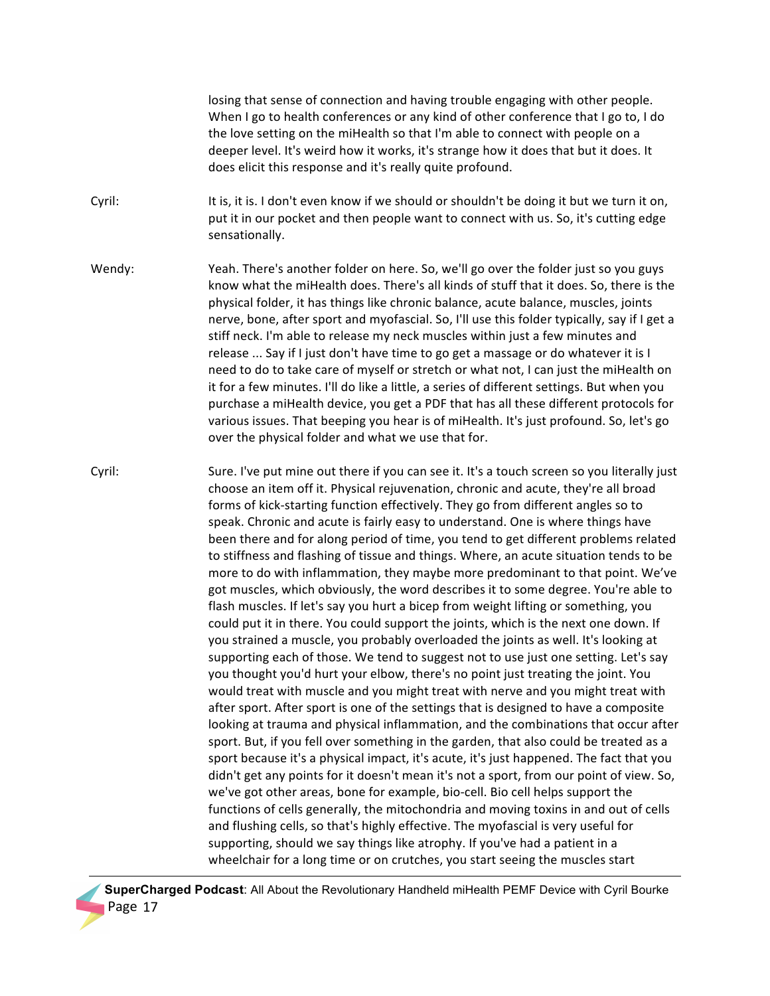losing that sense of connection and having trouble engaging with other people. When I go to health conferences or any kind of other conference that I go to, I do the love setting on the miHealth so that I'm able to connect with people on a deeper level. It's weird how it works, it's strange how it does that but it does. It does elicit this response and it's really quite profound.

- Cyril: It is, it is. I don't even know if we should or shouldn't be doing it but we turn it on, put it in our pocket and then people want to connect with us. So, it's cutting edge sensationally.
- Wendy: Yeah. There's another folder on here. So, we'll go over the folder just so you guys know what the miHealth does. There's all kinds of stuff that it does. So, there is the physical folder, it has things like chronic balance, acute balance, muscles, joints nerve, bone, after sport and myofascial. So, I'll use this folder typically, say if I get a stiff neck. I'm able to release my neck muscles within just a few minutes and release ... Say if I just don't have time to go get a massage or do whatever it is I need to do to take care of myself or stretch or what not, I can just the miHealth on it for a few minutes. I'll do like a little, a series of different settings. But when you purchase a miHealth device, you get a PDF that has all these different protocols for various issues. That beeping you hear is of miHealth. It's just profound. So, let's go over the physical folder and what we use that for.
- Cyril: Sure. I've put mine out there if you can see it. It's a touch screen so you literally just choose an item off it. Physical rejuvenation, chronic and acute, they're all broad forms of kick-starting function effectively. They go from different angles so to speak. Chronic and acute is fairly easy to understand. One is where things have been there and for along period of time, you tend to get different problems related to stiffness and flashing of tissue and things. Where, an acute situation tends to be more to do with inflammation, they maybe more predominant to that point. We've got muscles, which obviously, the word describes it to some degree. You're able to flash muscles. If let's say you hurt a bicep from weight lifting or something, you could put it in there. You could support the joints, which is the next one down. If you strained a muscle, you probably overloaded the joints as well. It's looking at supporting each of those. We tend to suggest not to use just one setting. Let's say you thought you'd hurt your elbow, there's no point just treating the joint. You would treat with muscle and you might treat with nerve and you might treat with after sport. After sport is one of the settings that is designed to have a composite looking at trauma and physical inflammation, and the combinations that occur after sport. But, if you fell over something in the garden, that also could be treated as a sport because it's a physical impact, it's acute, it's just happened. The fact that you didn't get any points for it doesn't mean it's not a sport, from our point of view. So, we've got other areas, bone for example, bio-cell. Bio cell helps support the functions of cells generally, the mitochondria and moving toxins in and out of cells and flushing cells, so that's highly effective. The myofascial is very useful for supporting, should we say things like atrophy. If you've had a patient in a wheelchair for a long time or on crutches, you start seeing the muscles start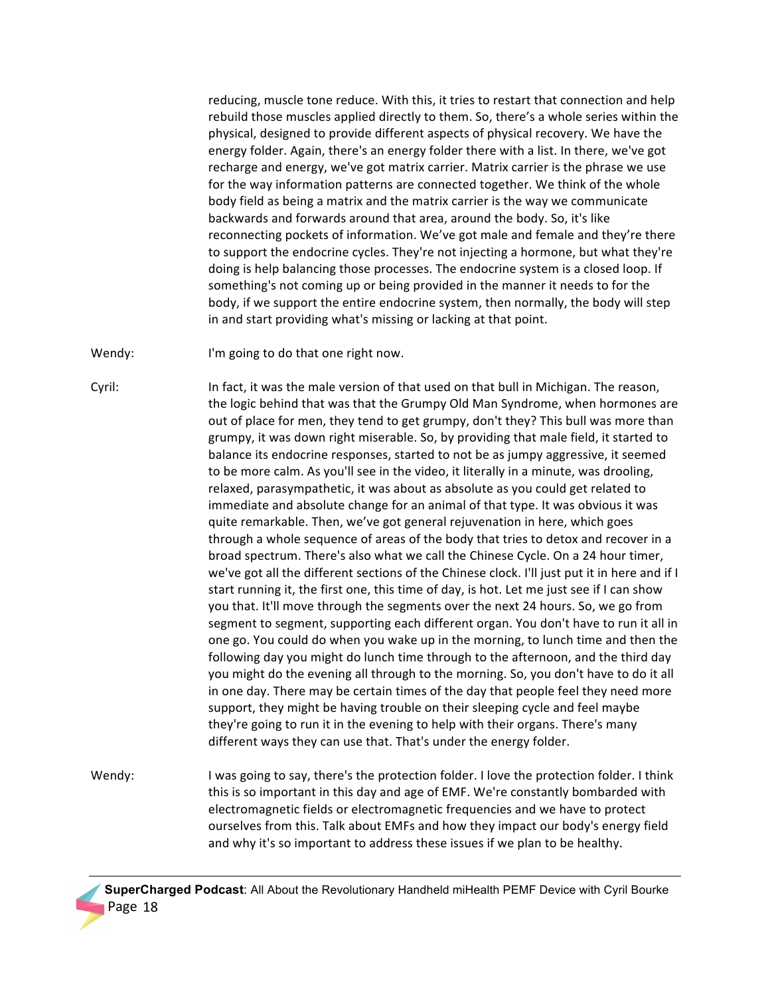reducing, muscle tone reduce. With this, it tries to restart that connection and help rebuild those muscles applied directly to them. So, there's a whole series within the physical, designed to provide different aspects of physical recovery. We have the energy folder. Again, there's an energy folder there with a list. In there, we've got recharge and energy, we've got matrix carrier. Matrix carrier is the phrase we use for the way information patterns are connected together. We think of the whole body field as being a matrix and the matrix carrier is the way we communicate backwards and forwards around that area, around the body. So, it's like reconnecting pockets of information. We've got male and female and they're there to support the endocrine cycles. They're not injecting a hormone, but what they're doing is help balancing those processes. The endocrine system is a closed loop. If something's not coming up or being provided in the manner it needs to for the body, if we support the entire endocrine system, then normally, the body will step in and start providing what's missing or lacking at that point.

Wendy: I'm going to do that one right now.

Cyril: In fact, it was the male version of that used on that bull in Michigan. The reason, the logic behind that was that the Grumpy Old Man Syndrome, when hormones are out of place for men, they tend to get grumpy, don't they? This bull was more than grumpy, it was down right miserable. So, by providing that male field, it started to balance its endocrine responses, started to not be as jumpy aggressive, it seemed to be more calm. As you'll see in the video, it literally in a minute, was drooling, relaxed, parasympathetic, it was about as absolute as you could get related to immediate and absolute change for an animal of that type. It was obvious it was quite remarkable. Then, we've got general rejuvenation in here, which goes through a whole sequence of areas of the body that tries to detox and recover in a broad spectrum. There's also what we call the Chinese Cycle. On a 24 hour timer, we've got all the different sections of the Chinese clock. I'll just put it in here and if I start running it, the first one, this time of day, is hot. Let me just see if I can show you that. It'll move through the segments over the next 24 hours. So, we go from segment to segment, supporting each different organ. You don't have to run it all in one go. You could do when you wake up in the morning, to lunch time and then the following day you might do lunch time through to the afternoon, and the third day you might do the evening all through to the morning. So, you don't have to do it all in one day. There may be certain times of the day that people feel they need more support, they might be having trouble on their sleeping cycle and feel maybe they're going to run it in the evening to help with their organs. There's many different ways they can use that. That's under the energy folder.

Wendy: I was going to say, there's the protection folder. I love the protection folder. I think this is so important in this day and age of EMF. We're constantly bombarded with electromagnetic fields or electromagnetic frequencies and we have to protect ourselves from this. Talk about EMFs and how they impact our body's energy field and why it's so important to address these issues if we plan to be healthy.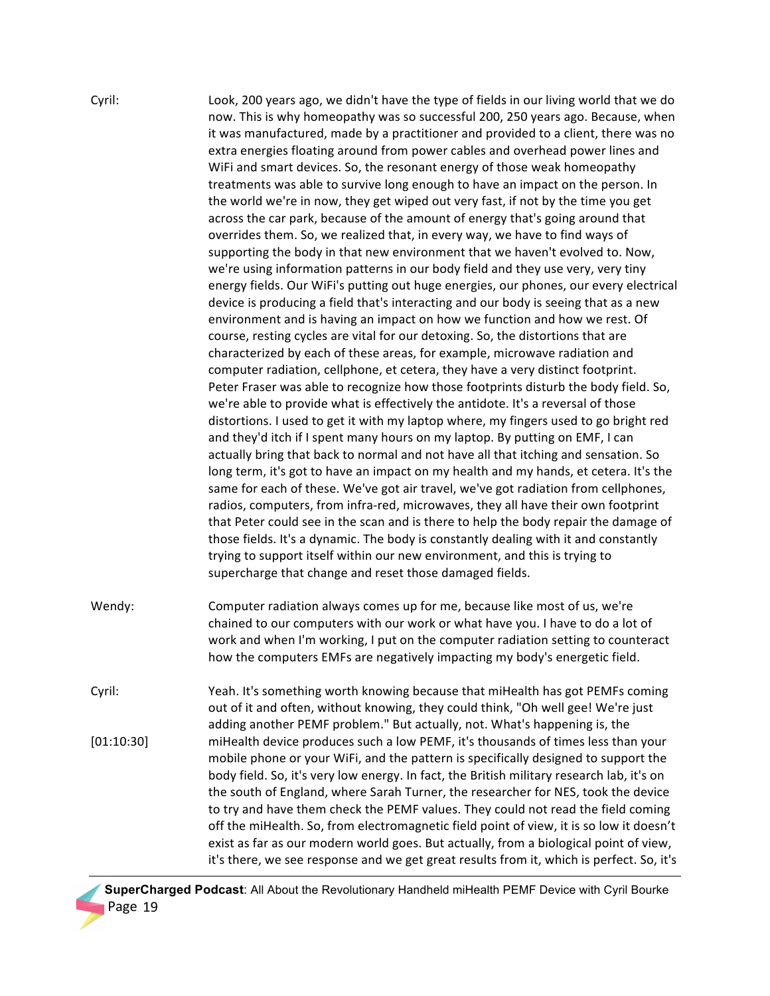| Cyril:     | Look, 200 years ago, we didn't have the type of fields in our living world that we do<br>now. This is why homeopathy was so successful 200, 250 years ago. Because, when<br>it was manufactured, made by a practitioner and provided to a client, there was no<br>extra energies floating around from power cables and overhead power lines and<br>WiFi and smart devices. So, the resonant energy of those weak homeopathy<br>treatments was able to survive long enough to have an impact on the person. In<br>the world we're in now, they get wiped out very fast, if not by the time you get<br>across the car park, because of the amount of energy that's going around that<br>overrides them. So, we realized that, in every way, we have to find ways of<br>supporting the body in that new environment that we haven't evolved to. Now,<br>we're using information patterns in our body field and they use very, very tiny<br>energy fields. Our WiFi's putting out huge energies, our phones, our every electrical<br>device is producing a field that's interacting and our body is seeing that as a new<br>environment and is having an impact on how we function and how we rest. Of<br>course, resting cycles are vital for our detoxing. So, the distortions that are<br>characterized by each of these areas, for example, microwave radiation and<br>computer radiation, cellphone, et cetera, they have a very distinct footprint.<br>Peter Fraser was able to recognize how those footprints disturb the body field. So,<br>we're able to provide what is effectively the antidote. It's a reversal of those<br>distortions. I used to get it with my laptop where, my fingers used to go bright red<br>and they'd itch if I spent many hours on my laptop. By putting on EMF, I can<br>actually bring that back to normal and not have all that itching and sensation. So<br>long term, it's got to have an impact on my health and my hands, et cetera. It's the<br>same for each of these. We've got air travel, we've got radiation from cellphones,<br>radios, computers, from infra-red, microwaves, they all have their own footprint<br>that Peter could see in the scan and is there to help the body repair the damage of<br>those fields. It's a dynamic. The body is constantly dealing with it and constantly<br>trying to support itself within our new environment, and this is trying to<br>supercharge that change and reset those damaged fields. |
|------------|-----------------------------------------------------------------------------------------------------------------------------------------------------------------------------------------------------------------------------------------------------------------------------------------------------------------------------------------------------------------------------------------------------------------------------------------------------------------------------------------------------------------------------------------------------------------------------------------------------------------------------------------------------------------------------------------------------------------------------------------------------------------------------------------------------------------------------------------------------------------------------------------------------------------------------------------------------------------------------------------------------------------------------------------------------------------------------------------------------------------------------------------------------------------------------------------------------------------------------------------------------------------------------------------------------------------------------------------------------------------------------------------------------------------------------------------------------------------------------------------------------------------------------------------------------------------------------------------------------------------------------------------------------------------------------------------------------------------------------------------------------------------------------------------------------------------------------------------------------------------------------------------------------------------------------------------------------------------------------------------------------------------------------------------------------------------------------------------------------------------------------------------------------------------------------------------------------------------------------------------------------------------------------------------------------------------------------------------------------------------------------------------------------------------------------------------------------------------------------------------|
| Wendy:     | Computer radiation always comes up for me, because like most of us, we're<br>chained to our computers with our work or what have you. I have to do a lot of<br>work and when I'm working, I put on the computer radiation setting to counteract<br>how the computers EMFs are negatively impacting my body's energetic field.                                                                                                                                                                                                                                                                                                                                                                                                                                                                                                                                                                                                                                                                                                                                                                                                                                                                                                                                                                                                                                                                                                                                                                                                                                                                                                                                                                                                                                                                                                                                                                                                                                                                                                                                                                                                                                                                                                                                                                                                                                                                                                                                                           |
| Cyril:     | Yeah. It's something worth knowing because that miHealth has got PEMFs coming<br>out of it and often, without knowing, they could think, "Oh well gee! We're just<br>adding another PEMF problem." But actually, not. What's happening is, the                                                                                                                                                                                                                                                                                                                                                                                                                                                                                                                                                                                                                                                                                                                                                                                                                                                                                                                                                                                                                                                                                                                                                                                                                                                                                                                                                                                                                                                                                                                                                                                                                                                                                                                                                                                                                                                                                                                                                                                                                                                                                                                                                                                                                                          |
| [01:10:30] | miHealth device produces such a low PEMF, it's thousands of times less than your<br>mobile phone or your WiFi, and the pattern is specifically designed to support the<br>body field. So, it's very low energy. In fact, the British military research lab, it's on<br>the south of England, where Sarah Turner, the researcher for NES, took the device<br>to try and have them check the PEMF values. They could not read the field coming<br>off the miHealth. So, from electromagnetic field point of view, it is so low it doesn't<br>exist as far as our modern world goes. But actually, from a biological point of view,<br>it's there, we see response and we get great results from it, which is perfect. So, it's                                                                                                                                                                                                                                                                                                                                                                                                                                                                                                                                                                                                                                                                                                                                                                                                                                                                                                                                                                                                                                                                                                                                                                                                                                                                                                                                                                                                                                                                                                                                                                                                                                                                                                                                                            |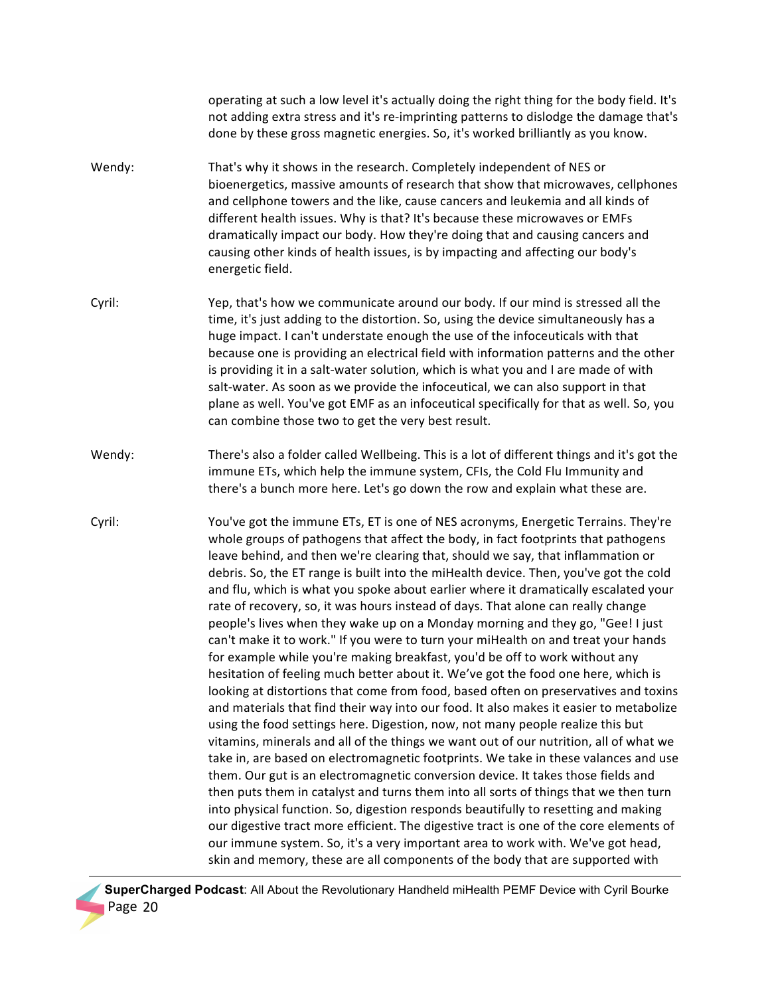operating at such a low level it's actually doing the right thing for the body field. It's not adding extra stress and it's re-imprinting patterns to dislodge the damage that's done by these gross magnetic energies. So, it's worked brilliantly as you know.

- Wendy: That's why it shows in the research. Completely independent of NES or bioenergetics, massive amounts of research that show that microwaves, cellphones and cellphone towers and the like, cause cancers and leukemia and all kinds of different health issues. Why is that? It's because these microwaves or EMFs dramatically impact our body. How they're doing that and causing cancers and causing other kinds of health issues, is by impacting and affecting our body's energetic field.
- Cyril: Yep, that's how we communicate around our body. If our mind is stressed all the time, it's just adding to the distortion. So, using the device simultaneously has a huge impact. I can't understate enough the use of the infoceuticals with that because one is providing an electrical field with information patterns and the other is providing it in a salt-water solution, which is what you and I are made of with salt-water. As soon as we provide the infoceutical, we can also support in that plane as well. You've got EMF as an infoceutical specifically for that as well. So, you can combine those two to get the very best result.
- Wendy: There's also a folder called Wellbeing. This is a lot of different things and it's got the immune ETs, which help the immune system, CFIs, the Cold Flu Immunity and there's a bunch more here. Let's go down the row and explain what these are.
- Cyril: You've got the immune ETs, ET is one of NES acronyms, Energetic Terrains. They're whole groups of pathogens that affect the body, in fact footprints that pathogens leave behind, and then we're clearing that, should we say, that inflammation or debris. So, the ET range is built into the miHealth device. Then, you've got the cold and flu, which is what you spoke about earlier where it dramatically escalated your rate of recovery, so, it was hours instead of days. That alone can really change people's lives when they wake up on a Monday morning and they go, "Gee! I just can't make it to work." If you were to turn your miHealth on and treat your hands for example while you're making breakfast, you'd be off to work without any hesitation of feeling much better about it. We've got the food one here, which is looking at distortions that come from food, based often on preservatives and toxins and materials that find their way into our food. It also makes it easier to metabolize using the food settings here. Digestion, now, not many people realize this but vitamins, minerals and all of the things we want out of our nutrition, all of what we take in, are based on electromagnetic footprints. We take in these valances and use them. Our gut is an electromagnetic conversion device. It takes those fields and then puts them in catalyst and turns them into all sorts of things that we then turn into physical function. So, digestion responds beautifully to resetting and making our digestive tract more efficient. The digestive tract is one of the core elements of our immune system. So, it's a very important area to work with. We've got head, skin and memory, these are all components of the body that are supported with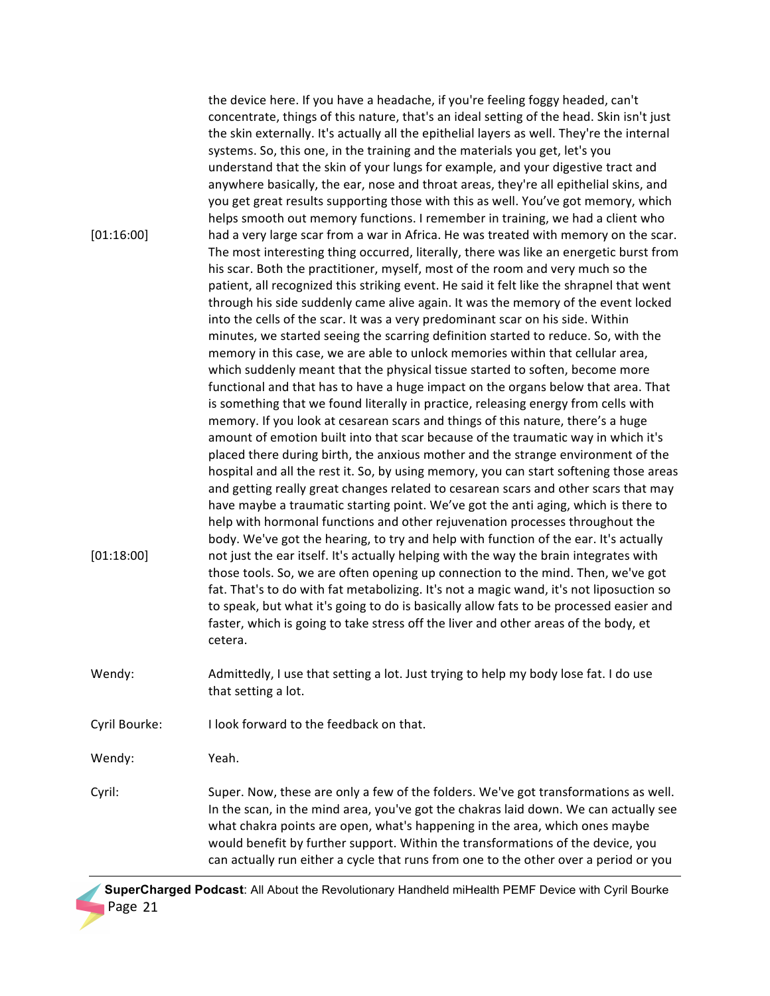|               | the device here. If you have a headache, if you're feeling foggy headed, can't<br>concentrate, things of this nature, that's an ideal setting of the head. Skin isn't just<br>the skin externally. It's actually all the epithelial layers as well. They're the internal<br>systems. So, this one, in the training and the materials you get, let's you<br>understand that the skin of your lungs for example, and your digestive tract and<br>anywhere basically, the ear, nose and throat areas, they're all epithelial skins, and<br>you get great results supporting those with this as well. You've got memory, which<br>helps smooth out memory functions. I remember in training, we had a client who                                                                                                                                                                                                                                                                                                                                                                                                                                                                                                                                                                                                                                                                                                                                                                                                                                                                             |
|---------------|------------------------------------------------------------------------------------------------------------------------------------------------------------------------------------------------------------------------------------------------------------------------------------------------------------------------------------------------------------------------------------------------------------------------------------------------------------------------------------------------------------------------------------------------------------------------------------------------------------------------------------------------------------------------------------------------------------------------------------------------------------------------------------------------------------------------------------------------------------------------------------------------------------------------------------------------------------------------------------------------------------------------------------------------------------------------------------------------------------------------------------------------------------------------------------------------------------------------------------------------------------------------------------------------------------------------------------------------------------------------------------------------------------------------------------------------------------------------------------------------------------------------------------------------------------------------------------------|
| [01:16:00]    | had a very large scar from a war in Africa. He was treated with memory on the scar.<br>The most interesting thing occurred, literally, there was like an energetic burst from<br>his scar. Both the practitioner, myself, most of the room and very much so the<br>patient, all recognized this striking event. He said it felt like the shrapnel that went<br>through his side suddenly came alive again. It was the memory of the event locked<br>into the cells of the scar. It was a very predominant scar on his side. Within<br>minutes, we started seeing the scarring definition started to reduce. So, with the<br>memory in this case, we are able to unlock memories within that cellular area,<br>which suddenly meant that the physical tissue started to soften, become more<br>functional and that has to have a huge impact on the organs below that area. That<br>is something that we found literally in practice, releasing energy from cells with<br>memory. If you look at cesarean scars and things of this nature, there's a huge<br>amount of emotion built into that scar because of the traumatic way in which it's<br>placed there during birth, the anxious mother and the strange environment of the<br>hospital and all the rest it. So, by using memory, you can start softening those areas<br>and getting really great changes related to cesarean scars and other scars that may<br>have maybe a traumatic starting point. We've got the anti aging, which is there to<br>help with hormonal functions and other rejuvenation processes throughout the |
| [01:18:00]    | body. We've got the hearing, to try and help with function of the ear. It's actually<br>not just the ear itself. It's actually helping with the way the brain integrates with<br>those tools. So, we are often opening up connection to the mind. Then, we've got<br>fat. That's to do with fat metabolizing. It's not a magic wand, it's not liposuction so<br>to speak, but what it's going to do is basically allow fats to be processed easier and<br>faster, which is going to take stress off the liver and other areas of the body, et<br>cetera.                                                                                                                                                                                                                                                                                                                                                                                                                                                                                                                                                                                                                                                                                                                                                                                                                                                                                                                                                                                                                                 |
| Wendy:        | Admittedly, I use that setting a lot. Just trying to help my body lose fat. I do use<br>that setting a lot.                                                                                                                                                                                                                                                                                                                                                                                                                                                                                                                                                                                                                                                                                                                                                                                                                                                                                                                                                                                                                                                                                                                                                                                                                                                                                                                                                                                                                                                                              |
| Cyril Bourke: | I look forward to the feedback on that.                                                                                                                                                                                                                                                                                                                                                                                                                                                                                                                                                                                                                                                                                                                                                                                                                                                                                                                                                                                                                                                                                                                                                                                                                                                                                                                                                                                                                                                                                                                                                  |
| Wendy:        | Yeah.                                                                                                                                                                                                                                                                                                                                                                                                                                                                                                                                                                                                                                                                                                                                                                                                                                                                                                                                                                                                                                                                                                                                                                                                                                                                                                                                                                                                                                                                                                                                                                                    |
| Cyril:        | Super. Now, these are only a few of the folders. We've got transformations as well.<br>In the scan, in the mind area, you've got the chakras laid down. We can actually see<br>what chakra points are open, what's happening in the area, which ones maybe<br>would benefit by further support. Within the transformations of the device, you<br>can actually run either a cycle that runs from one to the other over a period or you                                                                                                                                                                                                                                                                                                                                                                                                                                                                                                                                                                                                                                                                                                                                                                                                                                                                                                                                                                                                                                                                                                                                                    |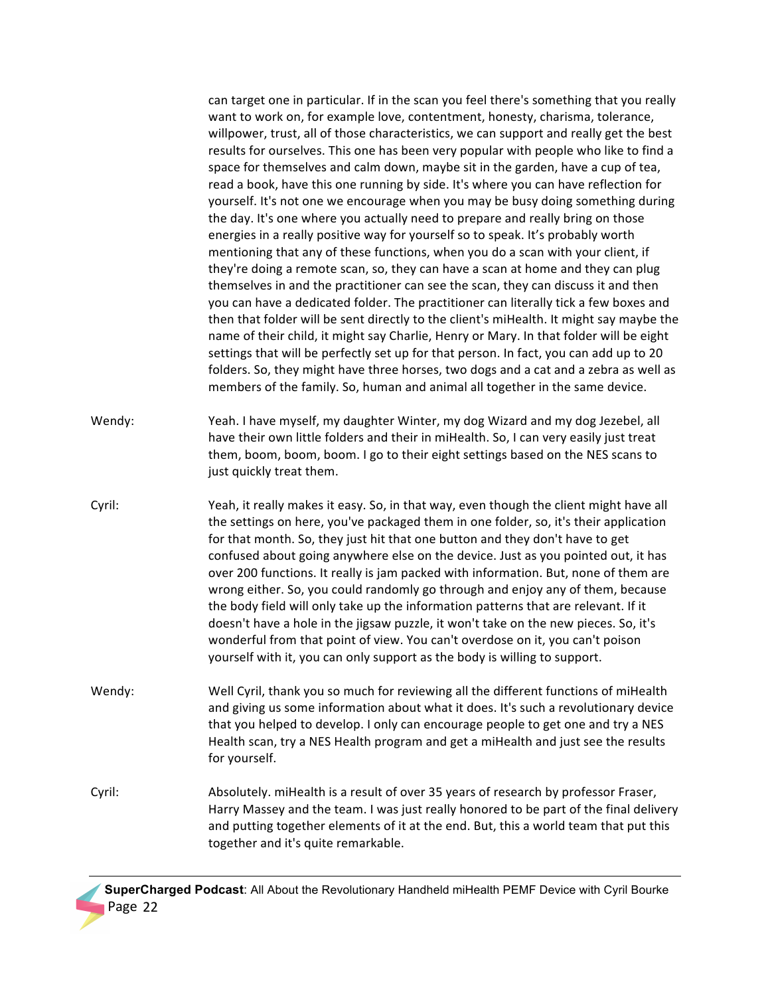can target one in particular. If in the scan you feel there's something that you really want to work on, for example love, contentment, honesty, charisma, tolerance, willpower, trust, all of those characteristics, we can support and really get the best results for ourselves. This one has been very popular with people who like to find a space for themselves and calm down, maybe sit in the garden, have a cup of tea, read a book, have this one running by side. It's where you can have reflection for yourself. It's not one we encourage when you may be busy doing something during the day. It's one where you actually need to prepare and really bring on those energies in a really positive way for yourself so to speak. It's probably worth mentioning that any of these functions, when you do a scan with your client, if they're doing a remote scan, so, they can have a scan at home and they can plug themselves in and the practitioner can see the scan, they can discuss it and then you can have a dedicated folder. The practitioner can literally tick a few boxes and then that folder will be sent directly to the client's miHealth. It might say maybe the name of their child, it might say Charlie, Henry or Mary. In that folder will be eight settings that will be perfectly set up for that person. In fact, you can add up to 20 folders. So, they might have three horses, two dogs and a cat and a zebra as well as members of the family. So, human and animal all together in the same device.

- Wendy: Yeah. I have myself, my daughter Winter, my dog Wizard and my dog Jezebel, all have their own little folders and their in miHealth. So, I can very easily just treat them, boom, boom, boom. I go to their eight settings based on the NES scans to just quickly treat them.
- Cyril: Yeah, it really makes it easy. So, in that way, even though the client might have all the settings on here, you've packaged them in one folder, so, it's their application for that month. So, they just hit that one button and they don't have to get confused about going anywhere else on the device. Just as you pointed out, it has over 200 functions. It really is jam packed with information. But, none of them are wrong either. So, you could randomly go through and enjoy any of them, because the body field will only take up the information patterns that are relevant. If it doesn't have a hole in the jigsaw puzzle, it won't take on the new pieces. So, it's wonderful from that point of view. You can't overdose on it, you can't poison yourself with it, you can only support as the body is willing to support.
- Wendy: Well Cyril, thank you so much for reviewing all the different functions of miHealth and giving us some information about what it does. It's such a revolutionary device that you helped to develop. I only can encourage people to get one and try a NES Health scan, try a NES Health program and get a miHealth and just see the results for yourself.
- Cyril: Absolutely. miHealth is a result of over 35 years of research by professor Fraser, Harry Massey and the team. I was just really honored to be part of the final delivery and putting together elements of it at the end. But, this a world team that put this together and it's quite remarkable.